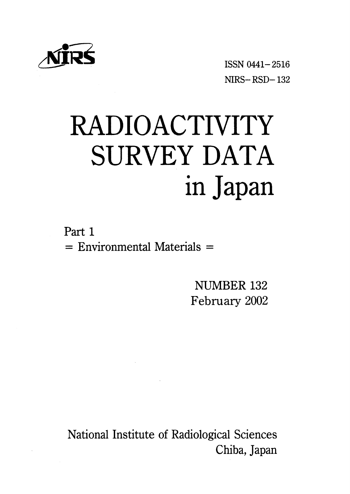

ISSN 0441-2516  $NIRS - RSD - 132$ 

# RADIOACTIVITY SURVEY DATA in Japan

Part 1  $=$  Environmental Materials  $=$ 

> NUMBER 132 February 2002

National Institute of Radiological Sciences Chiba, Japan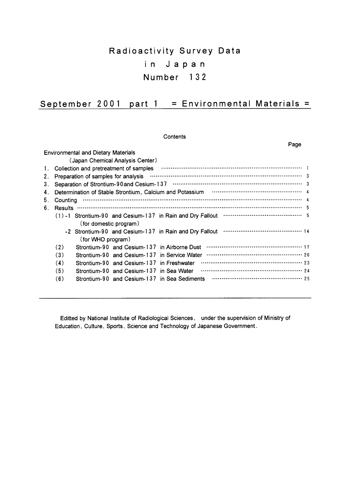# Radioactivity Survey Data in Japan Number 132

# September 2001 part 1 = Environmental Materials =

|    | Contents                                                                                             |      |
|----|------------------------------------------------------------------------------------------------------|------|
|    |                                                                                                      | Page |
|    | <b>Environmental and Dietary Materials</b>                                                           |      |
|    | (Japan Chemical Analysis Center)                                                                     |      |
| 1. |                                                                                                      |      |
| 2. |                                                                                                      |      |
| 3. |                                                                                                      |      |
| 4. | Determination of Stable Strontium, Calcium and Potassium <b>Construction of Stable Strontium</b> , 4 |      |
| 5. |                                                                                                      |      |
| 6. |                                                                                                      |      |
|    |                                                                                                      |      |
|    | (for domestic program)                                                                               |      |
|    |                                                                                                      |      |
|    | (for WHO program)                                                                                    |      |
|    | (2)<br>Strontium-90 and Cesium-137 in Airborne Dust                                                  |      |
|    | (3)<br>Strontium-90 and Cesium-137 in Service Water                                                  |      |
|    | (4)<br>Strontium-90 and Cesium-137 in Freshwater                                                     |      |
|    | (5)<br>Strontium-90 and Cesium-137 in Sea Water                                                      |      |
|    | (6)                                                                                                  |      |

Editted by National Institute of Radiological Sciences, under the supervision of Ministry of Education, Culture, Sports, Science and Technology of Japanese Government.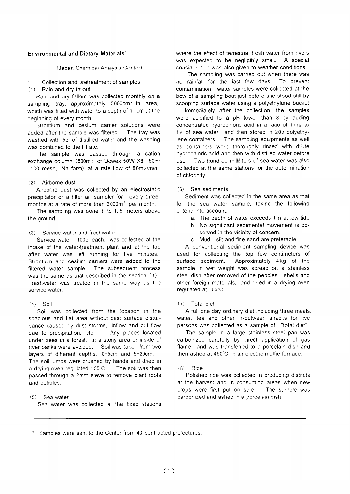# **Environmental and Dietary Materials'**

(Japan Chemical Analysis Center)

#### Collection and pretreatment of samples  $\mathbf{f}$

Rain and dry fallout  $(1)$ 

Rain and dry fallout was collected monthly on a sampling tray, approximately 5000cm<sup>2</sup> in area, which was filled with water to a depth of 1 cm at the beginning of every month.

Strontium and cesium carrier solutions were added after the sample was filtered. The tray was washed with 5<sub>0</sub> of distilled water and the washing was combined to the filtrate.

The sample was passed through a cation exchange column (500m<sub>2</sub> of Dowex 50W X8, 50 $\sim$ 100 mesh. Na form) at a rate flow of 80m g/min.

# (2) Airborne dust

.Airborne dust was collected by an electrostatic precipitator or a filter air sampler for every threemonths at a rate of more than 3000m<sup>3</sup> per month.

The sampling was done 1 to 1.5 meters above the ground.

# (3) Service water and freshwater

Service water, 1002 each, was collected at the intake of the water-treatment plant and at the tap after water was left running for five minutes. Strontium and cesium carriers were added to the filtered water sample. The subsequent process was the same as that described in the section  $(1)$ . Freshwater was treated in the same way as the service water.

# $(4)$  Soil

Soil was collected from the location in the spacious and flat area without past surface disturbance caused by dust storms, inflow and out flow Any places located due to precipitation, etc... under trees in a forest. in a stony area or inside of river banks were avoided. Soil was taken from two layers of different depths, 0-5cm and 5-20cm. The soil lumps were crushed by hands and dried in a drying oven regulated 105°C . The soil was then passed through a 2mm sieve to remove plant roots and pebbles.

# $(5)$  Sea water

Sea water was collected at the fixed stations

where the effect of terrestrial fresh water from rivers was expected to be negligibly small. A special consideration was also given to weather conditions.

The sampling was carried out when there was no rainfall for the last few days. To prevent contamination. water samples were collected at the bow of a sampling boat just before she stood still by scooping surface water using a polyethylene bucket.

Immediately after the collection, the samples were acidified to a pH lower than 3 by adding concentrated hydrochloric acid in a ratio of 1 m<sub>2</sub> to 1g of sea water, and then stored in 20g polyethy-The sampling equipments as well lene containers. as containers were thoroughly rinsed with dilute hydrochloric acid and then with distilled water before Two hundred milliliters of sea water was also  $HCD$ collected at the same stations for the determination of chlorinity.

# (6) Sea sediments

Sediment was collected in the same area as that for the sea water sample, taking the following criteria into account:

- a. The depth of water exceeds 1m at low tide.
- b. No significant sedimental movement is observed in the vicinity of concern.
- c. Mud. silt and fine sand are preferable.

A conventional sediment sampling device was used for collecting the top few centimeters of surface sediment. Approximately 4 kg of the sample in wet weight was spread on a stainless steel dish after removed of the pebbles. shells and other foreign materials, and dried in a drying oven regulated at 105°C.

# $(7)$  Total diet

A full one day ordinary diet including three meals, water, tea and other in-between snacks for five persons was collected as a sample of "total diet".

The sample in a large stainless steel pan was carbonized carefully by direct application of gas flame, and was transferred to a porcelain dish and then ashed at 450°C in an electric muffle furnace.

# $(8)$  Rice

Polished rice was collected in producing districts at the harvest and in consuming areas when new crops were first put on sale. The sample was carbonized and ashed in a porcelain dish.

Samples were sent to the Center from 46 contracted prefectures.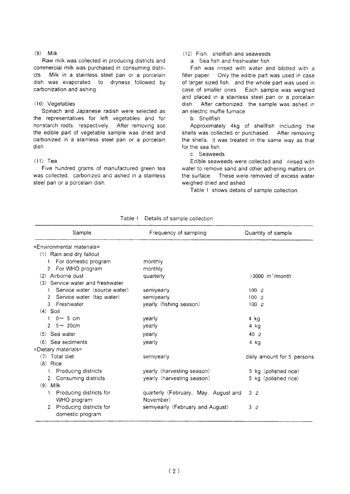# $(9)$  Milk

Raw milk was collected in producing districts and commercial milk was purchased in consuming districts. Milk in a stainless steel pan or a porcelain dish was evaporated to dryness followed by carbonization and ashing.

# $(10)$  Vegetables

Spinach and Japanese radish were selected as the representatives for left vegetables and for nonstarch roots, respectively. After removing soil, the edible part of vegetable sample was dried and carbonized in a stainless steel pan or a porcelain dish.

# $(11)$  Tea

Five hundred grams of manufactured green tea was collected. carbonized and ashed in a stainless steel pan or a porcelain dish.

# (12) Fish. shellfish and seaweeds

a. Sea fish and freshwater fish

Fish was rinsed with water and blotted with a filter paper. Only the edible part was used in case of larger sized fish, and the whole part was used in case of smaller ones. Each sample was weighed and placed in a stainless steel pan or a porcelain dish. After carbonized, the sample was ashed in an electric muffle furnace.

b. Shellfish

Approximately 4kg of shellfish including the shells was collected or purchased. After removing the shells, it was treated in the same way as that for the sea fish.

# c Seaweeds

Edible seaweeds were collected and rinsed with water to remove sand and other adhering matters on the surface. These were removed of excess water, weighed dried and ashed.

Table 1 shows details of sample collection.

| Sample                                         | Frequency of sampling                | Quantity of sample            |
|------------------------------------------------|--------------------------------------|-------------------------------|
| =Environmental materials=                      |                                      |                               |
| $(1)$ Rain and dry fallout                     |                                      |                               |
| 1. For domestic program                        | monthly                              |                               |
| 2. For WHO program                             | monthly                              |                               |
| (2) Airborne dust                              | quarterly                            | $>3000$ m <sup>3</sup> /month |
| (3) Service water and freshwater               |                                      |                               |
| 1. Service water (source water)                | semiyearly                           | 1000                          |
| 2. Service water (tap water)                   | semiyearly                           | $100\degree$                  |
| 3. Freshwater                                  | yearly (fishing season)              | $100 \alpha$                  |
| $(4)$ Soil                                     |                                      |                               |
| 1. $0 \sim 5$ cm                               | yearly                               | 4 kg                          |
| 2. $5 \sim 20$ cm                              | yearly                               | 4 kg                          |
| $(5)$ Sea water                                | yearly                               | 40 $\varrho$                  |
| $(6)$ Sea sediments                            | yearly                               | 4 kg                          |
| =Dietary materials=                            |                                      |                               |
| $(7)$ Total diet                               | semiyearly                           | daily amount for 5 persons    |
| $(8)$ Rice                                     |                                      |                               |
| 1. Producing districts                         | yearly (harvesting season)           | 5 kg (polished rice)          |
| 2. Consuming districts                         | yearly (harvesting season)           | 5 kg (polished rice)          |
| $(9)$ Milk                                     |                                      |                               |
| 1. Producing districts for                     | quarterly (February, May, August and | 3Q                            |
| WHO program                                    | November)                            |                               |
| 2. Producing districts for<br>domestic program | semiyearly (February and August)     | 3Q                            |

Table 1 Details of sample collection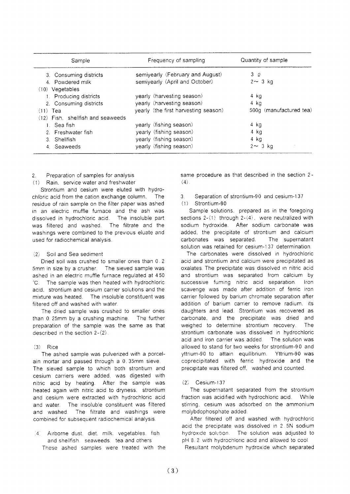| Sample                            | Frequency of sampling                | Quantity of sample      |
|-----------------------------------|--------------------------------------|-------------------------|
| 3. Consuming districts            | semiyearly (February and August)     | 3Q                      |
| 4. Powdered milk                  | semiyearly (April and October)       | $2 \sim 3$ kg           |
| (10) Vegetables                   |                                      |                         |
| 1. Producing districts            | yearly (harvesting season)           | 4 kg                    |
| 2. Consuming districts            | yearly (harvesting season)           | 4 kg                    |
| $(11)$ Tea                        | yearly (the first harvesting season) | 500g (manufactured tea) |
| (12) Fish. shellfish and seaweeds |                                      |                         |
| t. Sea fish                       | yearly (fishing season)              | 4 kg                    |
| 2. Freshwater fish                | yearly (fishing season)              | 4 kg                    |
| 3. Shellfish                      | yearly (fishing season)              | 4 kg                    |
| 4. Seaweeds                       | yearly (fishing season)              | $2 \sim 3$ kg           |

#### Preparation of samples for analysis  $\mathfrak{D}$

(1) Rain, service water and freshwater

Strontium and cesium were eluted with hydrochloric acid from the cation exchange column. The residue of rain sample on the filter paper was ashed in an electric muffle furnace and the ash was dissolved in hydrochloric acid. The insoluble part was filtered and washed. The filtrate and the washings were combined to the previous eluate and used for radiochemical analysis.

# (2) Soil and Sea sediment

Dried soil was crushed to smaller ones than 0.2 5mm in size by a crusher. The sieved sample was ashed in an electric muffle furnace regulated at 450 <sup>3</sup>C. The sample was then heated with hydrochloric acid, strontium and cesium carrier solutions and the mixture was heated. The insoluble constituent was filtered off and washed with water.

The dried sample was crushed to smaller ones than 0.25mm by a crushing machine. The further preparation of the sample was the same as that described in the section 2-(2).

# $(3)$  Rice

The ashed sample was pulverized with a porcelain mortar and passed through a 0.35mm sieve. The sieved sample to which both strontium and cesium carriers were added, was digested with nitric acid by heating. After the sample was heated again with nitric acid to dryness, strontium and cesium were extracted with hydrochloric acid and water. The insoluble constituent was filtered and washed. The filtrate and washings were combined for subsequent radiochemical analysis.

 $\left( 4\right)$ Airborne dust, diet, milk, vegetables, fish and shellfish. seaweeds. tea and others These ashed samples were treated with the same procedure as that described in the section 2- $(4)$ .

## Separation of strontium-90 and cesium-137  $\mathcal{R}$

Strontium-90  $(1)$ 

Sample solutions, prepared as in the foregoing sections  $2-(1)$  through  $2-(4)$ , were neutralized with sodium hydroxide. After sodium carbonate was added, the precipitate of strontium and calcium carbonates was separated. The supernatant solution was retained for cesium-137 determination.

The carbonates were dissolved in hydrochloric acid and strontium and calcium were precipitated as oxalates. The precipitate was dissolved in nitric acid and strontium was separated from calcium by successive fuming nitric acid separation.  $Inon$ scavenge was made after addition of ferric iron carrier followed by barium chromate separation after addition of barium carrier to remove radium, its daughters and lead. Strontium was recovered as carbonate, and the precipitate was dried and weighed to determine strontium recovery. The strontium carbonate was dissolved in hydrochloric acid and iron carrier was added. The solution was allowed to stand for two weeks for strontium-90 and yttrium-90 to attain equilibrium. Yttrium-90 was coprecipitated with ferric hydroxide and the precipitate was filtered off, washed and counted.

#### Cesium-137  $(2)$

The supernatant separated from the strontium fraction was acidified with hydrochloric acid. While stirring, cesium was adsorbed on the ammonium molybdophosphate added.

After filtered off and washed with hydrochloric acid the precipitate was dissolved in 2.5N sodium hydroxide solution. The solution was adjusted to pH 8.2 with hydrochloric acid and allowed to cool

Resultant molybdenum hydroxide which separated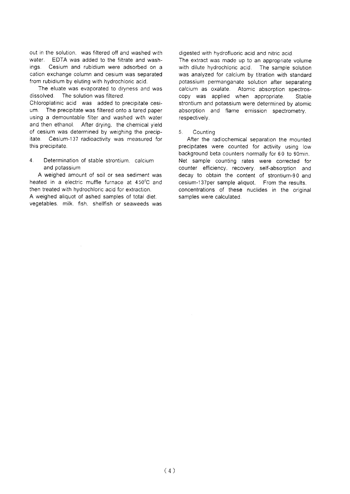out in the solution. was filtered off and washed with water. EDTA was added to the filtrate and washinas. Cesium and rubidium were adsorbed on a cation exchange column and cesium was separated from rubidium by eluting with hydrochloric acid.

The eluate was evaporated to dryness and was dissolved. The solution was filtered.

Chloroplatinic acid was added to precipitate cesium. The precipitate was filtered onto a tared paper using a demountable filter and washed with water and then ethanol. After drying, the chemical yield of cesium was determined by weighing the precipitate. Cesium-137 radioactivity was measured for this precipitate.

 $\Delta$ Determination of stable strontium calcium and potassium

A weighed amount of soil or sea sediment was heated in a electric muffle furnace at 450°C and then treated with hydrochloric acid for extraction. A weighed aliquot of ashed samples of total diet. vegetables. milk, fish, shellfish or seaweeds was

digested with hydrofluoric acid and nitric acid.

The extract was made up to an appropriate volume with dilute hydrochloric acid. The sample solution was analyzed for calcium by titration with standard potassium permanganate solution after separating calcium as oxalate. Atomic absorption spectroscopy was applied when appropriate. Stable strontium and potassium were determined by atomic absorption and flame emission spectrometry, respectively.

#### $5<sub>1</sub>$ Counting

After the radiochemical separation the mounted precipitates were counted for activity using low background beta counters normally for 60 to 90min. Net sample counting rates were corrected for counter efficiency, recovery, self-absorption and decay to obtain the content of strontium-90 and cesium-137per sample aliquot. From the results. concentrations of these nuclides in the original samples were calculated.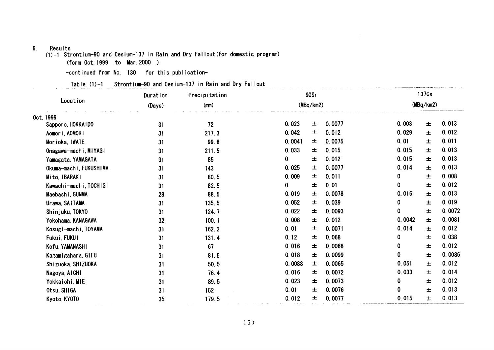### $6.$ Results

 $(1)$ -1 Strontium-90 and Cesium-137 in Rain and Dry Fallout (for domestic program)

(form Oct. 1999 to Mar. 2000)

-continued from No. 130 for this publication-

Table (1)-1 Strontium-90 and Cesium-137 in Rain and Dry Fallout

|                        | Precipitation<br>Duration |       | 90Sr      |    |        | 137Cs     |       |        |
|------------------------|---------------------------|-------|-----------|----|--------|-----------|-------|--------|
| Location               | (Days)                    | (mn)  | (MBq/km2) |    |        | (MBq/km2) |       |        |
| Oct. 1999              |                           |       |           |    |        |           |       |        |
| Sapporo, HOKKAIDO      | 31                        | 72    | 0.023     | 土  | 0.0077 | 0.003     | 士     | 0.013  |
| Aomori, AOMORI         | 31                        | 217.3 | 0.042     | 士  | 0.012  | 0.029     | 士     | 0.012  |
| Morioka, IWATE         | 31                        | 99.8  | 0.0041    | 士  | 0.0075 | 0.01      | 士     | 0.011  |
| Onagawa-machi, MIYAGI  | 31                        | 211.5 | 0.033     | 土  | 0.015  | 0.015     | 士     | 0.013  |
| Yamagata, YAMAGATA     | 31                        | 85    | 0         | ᆂ  | 0.012  | 0.015     | 士     | 0.013  |
| Okuma-machi, FUKUSHIMA | 31                        | 143   | 0.025     | ᆂ  | 0.0077 | 0.014     | 士     | 0.013  |
| Mito, IBARAKI          | 31                        | 80.5  | 0.009     | 土  | 0.011  | 0         | 土     | 0.008  |
| Kawachi-machi, TOCHIGI | 31                        | 82.5  | 0         | 土  | 0.01   | 0         | 士     | 0.012  |
| Maebashi, GUNMA        | 28                        | 88.5  | 0.019     | ᆂ  | 0.0078 | 0.016     | 士     | 0.013  |
| Urawa, SAITAMA         | 31                        | 135.5 | 0.052     | 士  | 0.039  | 0         | 士     | 0.019  |
| Shinjuku, TOKYO        | 31                        | 124.7 | 0.022     | 土  | 0.0093 | 0         | 士     | 0.0072 |
| Yokohama, KANAGAWA     | 32                        | 100.1 | 0.008     | 士  | 0.012  | 0.0042    | $\pm$ | 0.0081 |
| Kosugi-machi, TOYAMA   | 31                        | 162.2 | 0.01      | 士  | 0.0071 | 0.014     | 士     | 0.012  |
| Fukui, FUKUI           | 31                        | 131.4 | 0.12      | 土  | 0.068  | 0         | 士     | 0.038  |
| Kofu, YAMANASHI        | 31                        | 67    | 0.016     | 士  | 0.0068 | 0         | 土     | 0.012  |
| Kagamigahara, GIFU     | 31                        | 81.5  | 0.018     | 土. | 0.0099 | 0         | 士     | 0.0086 |
| Shizuoka, SHIZUOKA     | 31                        | 50.5  | 0.0088    | 士  | 0.0065 | 0.051     | 士     | 0.012  |
| Nagoya, AICHI          | 31                        | 76.4  | 0.016     | ᆂ. | 0.0072 | 0.033     | 士     | 0.014  |
| Yokkaichi, MIE         | 31                        | 89.5  | 0.023     | 士  | 0.0073 | 0         | 士     | 0.012  |
| Otsu, SHIGA            | 31                        | 152   | 0.01      | 士  | 0.0076 | 0         | 土     | 0.013  |
| Kyoto, KYOTO           | 35                        | 179.5 | 0.012     | 土  | 0.0077 | 0.015     | 士     | 0.013  |

 $\sim$   $-$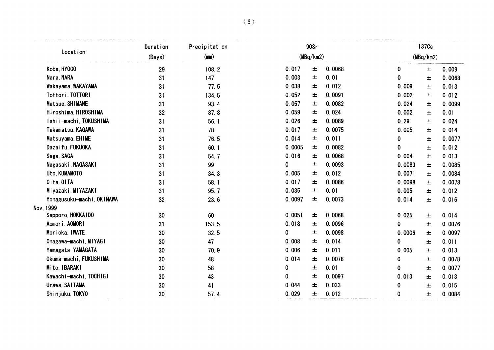|                           | Duration        | Precipitation | 90Sr   |           |        | 137Cs     |       |        |
|---------------------------|-----------------|---------------|--------|-----------|--------|-----------|-------|--------|
| Location                  | (Days)          | (mm)          |        | (MBq/km2) |        | (MBq/km2) |       |        |
| Kobe, HY0GO               | 29              | 108.2         | 0.017  | 土         | 0.0068 | 0         | $\pm$ | 0.009  |
| Nara, NARA                | 31              | 147           | 0.003  | $\pm$     | 0.01   | 0         | $\pm$ | 0.0068 |
| Wakayama, WAKAYAMA        | 31              | 77.5          | 0.038  | 土         | 0.012  | 0.009     | $\pm$ | 0.013  |
| Tottori, TOTTORI          | 31              | 134.5         | 0.052  | 土         | 0.0091 | 0.002     | $\pm$ | 0.012  |
| Matsue, SHIMANE           | 31              | 93.4          | 0.057  | 土         | 0.0082 | 0.024     | $\pm$ | 0.0099 |
| Hiroshima, HIROSHIMA      | 32              | 87.8          | 0.059  | $\pm$     | 0.024  | 0.002     | $\pm$ | 0.01   |
| Ishii-machi, TOKUSHIMA    | 31              | 56.1          | 0.026  | 土         | 0.0089 | 0.29      | 土     | 0.024  |
| Takamatsu, KAGAWA         | 31              | 78            | 0.017  | 土         | 0.0075 | 0.005     | $\pm$ | 0.014  |
| Matsuyama, EHIME          | 31              | 76.5          | 0.014  | 土         | 0.011  | 0         | 土     | 0.0077 |
| Dazaifu, FUKUOKA          | 31              | 60.1          | 0.0005 | 土         | 0.0082 | 0         | $\pm$ | 0.012  |
| Saga, SAGA                | 31              | 54.7          | 0.016  | 土         | 0.0068 | 0.004     | 土     | 0.013  |
| Nagasaki, NAGASAKI        | 31              | 99            | 0      | 土         | 0.0093 | 0.0083    | 土     | 0.0085 |
| Uto, KUMAMOTO             | 31              | 34.3          | 0.005  | 士         | 0.012  | 0.0071    | $\pm$ | 0.0084 |
| Oita, OITA                | 31              | 58.1          | 0.017  | 土         | 0.0086 | 0.0098    | $\pm$ | 0.0078 |
| Miyazaki, MIYAZAKI        | 31              | 95.7          | 0.035  | 土         | 0.01   | 0.005     | $\pm$ | 0.012  |
| Yonagusuku-machi, OKINAWA | 32              | 23.6          | 0.0097 | 土         | 0.0073 | 0.014     | $\pm$ | 0.016  |
| Nov, 1999                 |                 |               |        |           |        |           |       |        |
| Sapporo, HOKKAIDO         | 30              | 60            | 0.0051 | $\pm$     | 0.0068 | 0.025     | $\pm$ | 0.014  |
| Aomori, AOMORI            | 31              | 153.5         | 0.018  | $\pm$     | 0.0096 | 0         | $\pm$ | 0.0076 |
| Morioka, IWATE            | 30              | 32.5          | 0      | 土         | 0.0098 | 0.0006    | $\pm$ | 0.0097 |
| Onagawa-machi, MIYAGI     | $30\,$          | 47            | 0.008  | 土         | 0.014  | 0         | $\pm$ | 0.011  |
| Yamagata, YAMAGATA        | $30\,$          | 70.9          | 0.006  | $\pm$     | 0.011  | 0.005     | $\pm$ | 0.013  |
| Okuma-machi, FUKUSHIMA    | 30              | 48            | 0.014  | $\pm$     | 0.0078 | 0         | $\pm$ | 0.0078 |
| Mito, IBARAKI             | 30              | 58            | 0      | $\pm$     | 0.01   | 0         | $\pm$ | 0.0077 |
| Kawachi-machi, TOCHIGI    | 30 <sub>o</sub> | 43            | 0      | $\pm$     | 0.0097 | 0.013     | $\pm$ | 0.013  |
| Urawa, SAITAMA            | 30              | 41            | 0.044  | $\pm$     | 0.033  | 0         | $\pm$ | 0.015  |
| Shinjuku, TOKYO           | 30              | 57.4          | 0.029  | 土         | 0.012  | 0         | $\pm$ | 0.0084 |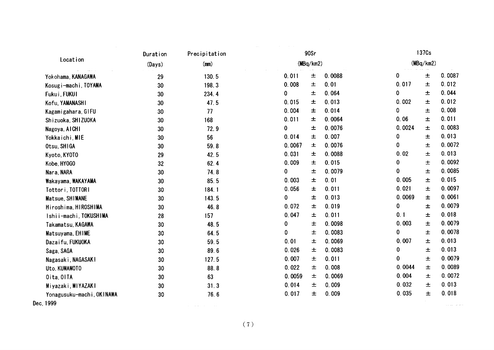|                           | Precipitation<br>Duration |       | 90Sr         |   |        | 137Cs     |           |        |
|---------------------------|---------------------------|-------|--------------|---|--------|-----------|-----------|--------|
| Location                  | (Days)                    | (mn)  | (MBq/km2)    |   |        |           | (MBq/km2) |        |
| Yokohama, KANAGAWA        | 29                        | 130.5 | 0.011        | 土 | 0.0088 | 0         | $\pm$     | 0.0087 |
| Kosugi-machi, TOYAMA      | 30                        | 198.3 | 0.008        | 土 | 0.01   | 0.017     | 土         | 0.012  |
| Fukui, FUKUI              | 30                        | 234.4 | 0            | 土 | 0.064  | 0         | $\pm$     | 0.044  |
| Kofu, YAMANASHI           | 30                        | 47.5  | 0.015        | 士 | 0.013  | 0.002     | $\pm$     | 0.012  |
| Kagamigahara, GIFU        | 30                        | 77    | 0.004        | 士 | 0.014  | 0         | 土         | 0.008  |
| Shizuoka, SHIZUOKA        | 30                        | 168   | 0.011        | 土 | 0.0064 | 0.06      | $\pm$     | 0.011  |
| Nagoya, AICHI             | 30                        | 72.9  | $\mathbf{0}$ | 士 | 0.0076 | 0.0024    | $\pm$     | 0.0083 |
| Yokkaichi, MIE            | 30                        | 56    | 0.014        | 土 | 0.007  | 0         | $\pm$     | 0.013  |
| Otsu, SHIGA               | 30                        | 59.8  | 0.0067       | 士 | 0.0076 | 0         | $\pm$     | 0.0072 |
| Kyoto, KYOTO              | 29                        | 42.5  | 0.031        | 士 | 0.0088 | 0.02      | $\pm$     | 0.013  |
| Kobe, HY0GO               | 32                        | 62.4  | 0.009        | 土 | 0.015  | 0         | $\pm$     | 0.0092 |
| Nara, NARA                | 30                        | 74.8  | 0            | 土 | 0.0079 | 0         | $\pm$     | 0.0085 |
| Wakayama, WAKAYAMA        | 30                        | 85.5  | 0.003        | 土 | 0.01   | 0.005     | $\pm$     | 0.015  |
| Tottori, TOTTORI          | 30                        | 184.1 | 0.056        | 士 | 0.011  | 0.021     | $\pm$     | 0.0097 |
| Matsue, SHIMANE           | 30                        | 143.5 | $\mathbf 0$  | 土 | 0.013  | 0.0069    | $\pm$     | 0.0061 |
| Hiroshima, HIROSHIMA      | 30                        | 46.8  | 0.072        | 土 | 0.019  | 0         | 土         | 0.0079 |
| Ishii-machi, TOKUSHIMA    | 28                        | 157   | 0.047        | 土 | 0.011  | 0.1       | 土         | 0.018  |
| Takamatsu, KAGAWA         | 30                        | 48.5  | 0            | 士 | 0.0098 | 0.003     | 土         | 0.0079 |
| Matsuyama, EHIME          | 30                        | 64.5  | 0            | 土 | 0.0083 | $\pmb{0}$ | $\pm$     | 0.0078 |
| Dazai fu, FUKUOKA         | 30                        | 59.5  | 0.01         | 土 | 0.0069 | 0.007     | 土         | 0.013  |
| Saga, SAGA                | 30                        | 89.6  | 0.026        | 土 | 0.0083 | 0         | 土         | 0.013  |
| Nagasaki, NAGASAKI        | 30                        | 127.5 | 0.007        | 土 | 0.011  | $\bf{0}$  | 土         | 0.0079 |
| Uto, KUMAMOTO             | 30                        | 88.8  | 0.022        | 土 | 0.008  | 0.0044    | $\pm$     | 0.0089 |
| Oita, OITA                | 30                        | 63    | 0.0059       | 士 | 0.0069 | 0.004     | 士         | 0.0072 |
| Miyazaki, MIYAZAKI        | 30                        | 31.3  | 0.014        | 土 | 0.009  | 0.032     | 土         | 0.013  |
| Yonagusuku-machi, OKINAWA | 30                        | 76.6  | 0.017        | 土 | 0.009  | 0.035     | 士         | 0.018  |
| Dec, 1999                 |                           |       |              |   |        |           |           |        |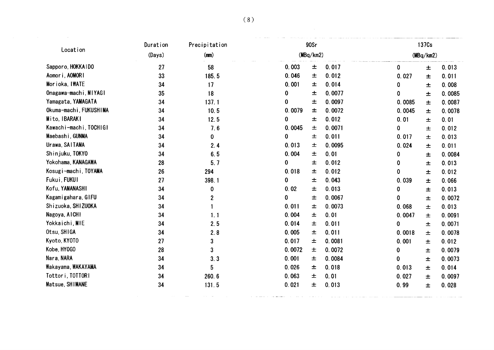|                        | Duration | Precipitation |        | 90Sr      |        |             | 137Cs     |        |  |  |
|------------------------|----------|---------------|--------|-----------|--------|-------------|-----------|--------|--|--|
| Location               | (Days)   | (mn)          |        | (MBq/km2) |        |             | (MBq/km2) |        |  |  |
| Sapporo, HOKKAIDO      | 27       | 58            | 0.003  | 土         | 0.017  | $\mathbf 0$ | $\pm$     | 0.013  |  |  |
| Aomori, AOMORI         | 33       | 185.5         | 0.046  | 土         | 0.012  | 0.027       | $\pm$     | 0.011  |  |  |
| Morioka, IWATE         | 34       | 17            | 0.001  | 士         | 0.014  | 0           | $\pm$     | 0.008  |  |  |
| Onagawa-machi, MIYAGI  | 35       | 18            | 0      | 土         | 0.0077 | 0           | $\pm$     | 0.0085 |  |  |
| Yamagata, YAMAGATA     | 34       | 137.1         | 0      | 土         | 0.0097 | 0.0085      | $\pm$     | 0.0087 |  |  |
| Okuma-machi, FUKUSHIMA | 34       | 10.5          | 0.0079 | 士         | 0.0072 | 0.0045      | $\pm$     | 0.0078 |  |  |
| Mito, IBARAKI          | 34       | 12.5          | 0      | 土         | 0.012  | 0.01        | 土         | 0.01   |  |  |
| Kawachi-machi, TOCHIGI | 34       | 7.6           | 0.0045 | 土         | 0.0071 | 0           | 土         | 0.012  |  |  |
| Maebashi, GUNMA        | 34       | 0             | 0      | 士         | 0.011  | 0.017       | 土         | 0.013  |  |  |
| Urawa, SAITAMA         | 34       | 2.4           | 0.013  | 土         | 0.0095 | 0.024       | 土         | 0.011  |  |  |
| Shinjuku, TOKYO        | 34       | 6.5           | 0.004  | 土         | 0.01   | 0           | $\pm$     | 0.0084 |  |  |
| Yokohama, KANAGAWA     | 28       | 5.7           | 0      | 土         | 0.012  | 0           | 土         | 0.013  |  |  |
| Kosugi-machi, TOYAMA   | 26       | 294           | 0.018  | 土         | 0.012  | 0           | 土         | 0.012  |  |  |
| Fukui FUKUI            | 27       | 398.1         | 0      | 土         | 0.043  | 0.039       | $\pm$     | 0.066  |  |  |
| Kofu, YAMANASHI        | 34       | 0             | 0.02   | 土         | 0.013  | 0           | 土         | 0.013  |  |  |
| Kagamigahara, GIFU     | 34       | 2             | 0      | 土         | 0.0067 | 0           | $\pm$     | 0.0072 |  |  |
| Shizuoka, SHIZUOKA     | 34       |               | 0.011  | 土         | 0.0073 | 0.068       | $\pm$     | 0.013  |  |  |
| Nagoya, AICHI          | 34       | 1.1           | 0.004  | 土         | 0.01   | 0.0047      | 士         | 0.0091 |  |  |
| Yokkaichi, MIE         | 34       | 2.5           | 0.014  | 土         | 0.011  | 0           | $\pm$     | 0.0071 |  |  |
| Otsu, SHIGA            | 34       | 2.8           | 0.005  | ᆂ         | 0.011  | 0.0018      | 土         | 0.0078 |  |  |
| Kyoto, KYOTO           | 27       | $\mathbf{3}$  | 0.017  | 土         | 0.0081 | 0.001       | 土         | 0.012  |  |  |
| Kobe, HY0GO            | 28       | 3             | 0.0072 | 土         | 0.0072 | 0           | 土         | 0.0079 |  |  |
| Nara, NARA             | 34       | 3.3           | 0.001  | 土         | 0.0084 | 0           | 土         | 0.0073 |  |  |
| Wakayama, WAKAYAMA     | 34       | 5             | 0.026  | 土         | 0.018  | 0.013       | 土         | 0.014  |  |  |
| Tottori, TOTTORI       | 34       | 260.6         | 0.063  | 土         | 0.01   | 0.027       | 士         | 0.0097 |  |  |
| Matsue, SHIMANE        | 34       | 131.5         | 0.021  | 土         | 0.013  | 0.99        | 土         | 0.028  |  |  |
|                        |          |               |        |           |        |             |           |        |  |  |
|                        |          |               |        |           |        |             |           |        |  |  |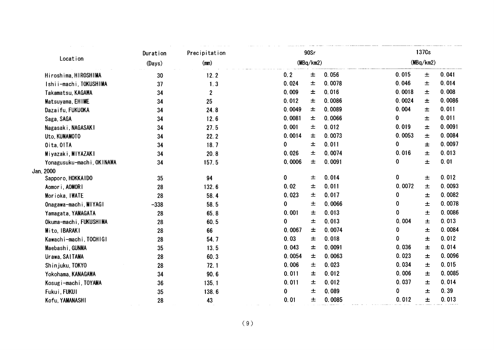| (MBq/km2)<br>0.015<br>0.056<br>0.0078<br>0.046 |                |
|------------------------------------------------|----------------|
|                                                |                |
|                                                | 0.041<br>土     |
|                                                | 0.014<br>$\pm$ |
| 0.016                                          | 0.008          |
| 0.0018                                         | 土              |
| 0.0086                                         | 0.0086         |
| 0.0024                                         | 土              |
| 0.0089                                         | 0.011          |
| 0.004                                          | 土              |
| 0                                              | 0.011          |
| 0.0066                                         | $\pm$          |
| 0.012                                          | 0.0091         |
| 0.019                                          | 土              |
| 0.0053                                         | 0.0084         |
| 0.0073                                         | 士              |
| 0                                              | 0.0097         |
| 0.011                                          | 士              |
| 0.016                                          | 0.013          |
| 0.0074                                         | $\pm$          |
| 0.0091                                         | 0.01           |
| 0                                              | 士              |
|                                                |                |
| 0                                              | 0.012          |
| 0.014                                          | $\pm$          |
| 0.0072                                         | 0.0093         |
| 0.011                                          | 土              |
| 0.017                                          | 0.0082         |
| 0                                              | $\pm$          |
| 0.0066                                         | 0.0078         |
| 0                                              | $\pm$          |
| 0.013                                          | 0.0086         |
| 0                                              | $\pm$          |
| 0.004                                          | 0.013          |
| 0.013                                          | 土              |
| 0.0074                                         | 0.0084         |
| 0                                              | $\pm$          |
| 0                                              | 0.012          |
| 0.018                                          | $\pm$          |
| 0.0091                                         | 0.014          |
| 0.036                                          | $\pm$          |
| 0.0063                                         | 0.0096         |
| 0.023                                          | $\pm$          |
| 0.034                                          | 0.015          |
| 0.023                                          | $\pm$          |
| 0.006                                          | 0.0085         |
| 0.012                                          | $\pm$          |
| 0.037                                          | 0.014          |
| 0.012                                          | 土              |
| 0.089                                          | 0.39           |
| 0                                              | 土              |
| 0.012                                          | 0.013          |
| 0.0085                                         | 士              |
|                                                |                |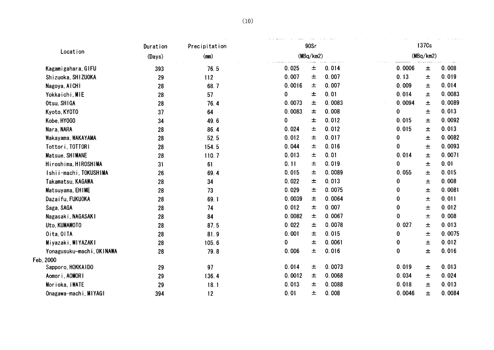| Location                  | Precipitation<br>Duration<br>(Days)<br>(mn) |       | 90Sr<br>(MBq/km2) |       |        | 137Cs     |       |        |  |
|---------------------------|---------------------------------------------|-------|-------------------|-------|--------|-----------|-------|--------|--|
|                           |                                             |       |                   |       |        | (MBq/km2) |       |        |  |
| Kagamigahara, GIFU        | 393                                         | 76.5  | 0.025             | $\pm$ | 0.014  | 0.0006    | $\pm$ | 0.008  |  |
| Shizuoka, SHIZUOKA        | 29                                          | 112   | 0.007             | 土     | 0.007  | 0.13      | 土     | 0.019  |  |
| Nagoya, AICHI             | 28                                          | 68.7  | 0.0016            | 士     | 0.007  | 0.009     | $\pm$ | 0.014  |  |
| Yokkaichi, MIE            | 28                                          | 57    | 0                 | 土     | 0.01   | 0.014     | 土     | 0.0083 |  |
| Otsu, SHIGA               | 28                                          | 76.4  | 0.0073            | 土     | 0.0083 | 0.0094    | 土     | 0.0089 |  |
| Kyoto, KY0T0              | 37                                          | 64    | 0.0083            | 土     | 0.008  | 0         | 土     | 0.013  |  |
| Kobe, HY0GO               | 34                                          | 49.6  | 0                 | 士     | 0.012  | 0.015     | 土     | 0.0092 |  |
| Nara, NARA                | 28                                          | 86.4  | 0.024             | 土     | 0.012  | 0.015     | $\pm$ | 0.013  |  |
| Wakayama, WAKAYAMA        | 28                                          | 52.5  | 0.012             | 土     | 0.017  | 0         | $\pm$ | 0.0082 |  |
| Tottori, TOTTORI          | 28                                          | 154.5 | 0.044             | 土     | 0.016  | $\bf{0}$  | $\pm$ | 0.0093 |  |
| Matsue, SHIMANE           | 28                                          | 110.7 | 0.013             | 土     | 0.01   | 0.014     | 士     | 0.0071 |  |
| Hiroshima, HIROSHIMA      | 31                                          | 61    | 0.11              | 土     | 0.019  | 0         | 土     | 0.01   |  |
| Ishii-machi, TOKUSHIMA    | 26                                          | 69.4  | 0.015             | 土     | 0.0089 | 0.055     | $\pm$ | 0.015  |  |
| Takamatsu, KAGAWA         | 28                                          | 34    | 0.022             | 土     | 0.013  | 0         | 士     | 0.008  |  |
| Matsuyama, EHIME          | 28                                          | 73    | 0.029             | 士     | 0.0075 | 0         | 土     | 0.0081 |  |
| Dazaifu, FUKUOKA          | 28                                          | 69.1  | 0.0039            | 土     | 0.0064 | 0         | 土     | 0.011  |  |
| Saga, SAGA                | 28                                          | 74    | 0.012             | 土     | 0.007  | 0         | $\pm$ | 0.012  |  |
| Nagasaki, NAGASAKI        | 28                                          | 84    | 0.0082            | $\pm$ | 0.0067 | 0         | $\pm$ | 0.008  |  |
| Uto, KUMAMOTO             | 28                                          | 87.5  | 0.022             | 土     | 0.0078 | 0.027     | $\pm$ | 0.013  |  |
| Oita, OITA                | 28                                          | 81.9  | 0.001             | 士     | 0.015  | 0         | 土     | 0.0075 |  |
| Miyazaki, MIYAZAKI        | 28                                          | 105.6 | 0                 | 土     | 0.0061 | 0         | $\pm$ | 0.012  |  |
| Yonagusuku-machi, OKINAWA | 28                                          | 79.8  | 0.006             | 士     | 0.016  | 0         | 士     | 0.016  |  |
| Feb, 2000                 |                                             |       |                   |       |        |           |       |        |  |
| Sapporo, HOKKAIDO         | 29                                          | 97    | 0.014             | 土     | 0.0073 | 0.019     | 土     | 0.013  |  |
| Aomori, AOMORI            | 29                                          | 136.4 | 0.0012            | 士     | 0.0068 | 0.034     | 士     | 0.024  |  |
| Morioka, IWATE            | 29                                          | 18.1  | 0.013             | 士     | 0.0088 | 0.018     | 土     | 0.013  |  |
| Onagawa-machi, MIYAGI     | 394                                         | 12    | 0.01              | 士     | 0.008  | 0.0046    | 士     | 0.0084 |  |
|                           |                                             |       |                   |       |        |           |       |        |  |
|                           |                                             |       |                   |       |        |           |       |        |  |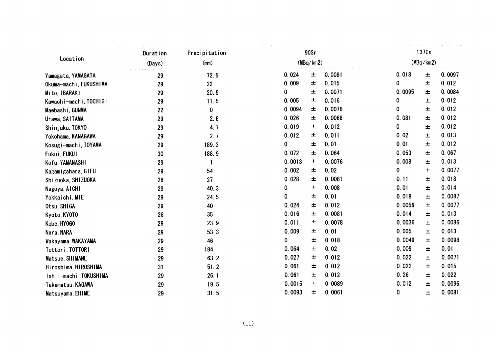| Location<br>(MBq/km2)<br>(MBq/km2)<br>(Days)<br>(mm)<br>0.0081<br>0.018<br>0.0097<br>0.024<br>士<br>$\pm$<br>72.5<br>Yamagata, YAMAGATA<br>29<br>0.015<br>0<br>0.012<br>0.009<br>$\pm$<br>22<br>土<br>Okuma-machi, FUKUSHIMA<br>29<br>0.0084<br>0<br>0.0071<br>0.0095<br>土<br>$\pm$<br>20.5<br>Mito, IBARAKI<br>29<br>0.005<br>0.016<br>0.012<br>0<br>11.5<br>土<br>土<br>29<br>Kawachi-machi, TOCHIGI<br>0.012<br>0.0094<br>0.0076<br>0<br>土<br>士<br>22<br>0<br>Maebashi, GUNMA<br>0.012<br>0.026<br>0.0068<br>0.081<br>土<br>土<br>29<br>2.8<br>Urawa, SAITAMA<br>0<br>0.012<br>0.019<br>0.012<br>4.7<br>土<br>$\pm$<br>29<br>Shinjuku, TOKYO<br>0.013<br>0.012<br>0.011<br>0.02<br>2.7<br>士<br>土<br>29<br>Yokohama, KANAGAWA<br>0.012<br>0<br>0.01<br>0.01<br>±<br>189.3<br>土<br>29<br>Kosugi-machi, TOYAMA<br>0.072<br>0.064<br>0.053<br>0.067<br>土<br>188.9<br>$\pm$<br>30<br>Fukui, FUKUI<br>0.013<br>0.0013<br>0.0076<br>0.008<br>土<br>$\pm$<br>29<br>Kofu, YAMANASHI<br>1<br>0.0077<br>0.002<br>0.02<br>0<br>土<br>54<br>土<br>Kagamigahara, GIFU<br>29<br>0.028<br>0.018<br>0.0081<br>0.11<br>士<br>土<br>27<br>28<br>Shizuoka, SHIZUOKA<br>0.014<br>0.008<br>0.01<br>0<br>土<br>土<br>40.3<br>29<br>Nagoya, AICHI<br>0<br>0.01<br>0.018<br>0.0087<br>士<br>$\pm$<br>24.5<br>29<br>Yokkaichi, MIE<br>0.012<br>0.0077<br>0.024<br>0.0056<br>土<br>土<br>40<br>Otsu, SHIGA<br>29<br>0.016<br>0.0081<br>0.013<br>0.014<br>35<br>土<br>土<br>26<br>Kyoto, KYOTO<br>0.011<br>0.0078<br>0.0086<br>0.0036<br>23.9<br>土<br>土<br>29<br>Kobe, HY0GO<br>0.013<br>0.009<br>0.01<br>0.005<br>53.3<br>土<br>$\pm$<br>29<br>Nara, NARA<br>0<br>0.018<br>0.0049<br>0.0098<br>土<br>46<br>$\pm$<br>29<br>Wakayama, WAKAYAMA<br>0.01<br>0.064<br>0.02<br>0.009<br>土<br>184<br>$\pm$<br>29<br>Tottori, TOTTORI<br>0.027<br>0.012<br>0.022<br>0.0071<br>63.2<br>土<br>29<br>士<br>Matsue, SHIMANE<br>0.061<br>0.012<br>0.022<br>0.015<br>51.2<br>土<br>土<br>31<br>Hiroshima, HIROSHIMA<br>0.26<br>0.061<br>0.012<br>0.022<br>26.1<br>土<br>土<br>29<br>Ishii-machi, TOKUSHIMA<br>0.0089<br>0.012<br>0.0015<br>0.0096<br>19.5<br>土<br>土<br>29<br>Takamatsu, KAGAWA<br>0.0093<br>0.0061<br>0<br>0.0081<br>土<br>$\pm$<br>31.5<br>29<br>Matsuyama, EHIME<br>(11) | Duration | Precipitation |  | 90Sr |  |  | 137Cs |  |  |
|--------------------------------------------------------------------------------------------------------------------------------------------------------------------------------------------------------------------------------------------------------------------------------------------------------------------------------------------------------------------------------------------------------------------------------------------------------------------------------------------------------------------------------------------------------------------------------------------------------------------------------------------------------------------------------------------------------------------------------------------------------------------------------------------------------------------------------------------------------------------------------------------------------------------------------------------------------------------------------------------------------------------------------------------------------------------------------------------------------------------------------------------------------------------------------------------------------------------------------------------------------------------------------------------------------------------------------------------------------------------------------------------------------------------------------------------------------------------------------------------------------------------------------------------------------------------------------------------------------------------------------------------------------------------------------------------------------------------------------------------------------------------------------------------------------------------------------------------------------------------------------------------------------------------------------------------------------------------------------------------------------------------------------------------------------------------------------------------------------------------------------------------------------------------------------------------------------------------------|----------|---------------|--|------|--|--|-------|--|--|
|                                                                                                                                                                                                                                                                                                                                                                                                                                                                                                                                                                                                                                                                                                                                                                                                                                                                                                                                                                                                                                                                                                                                                                                                                                                                                                                                                                                                                                                                                                                                                                                                                                                                                                                                                                                                                                                                                                                                                                                                                                                                                                                                                                                                                          |          |               |  |      |  |  |       |  |  |
|                                                                                                                                                                                                                                                                                                                                                                                                                                                                                                                                                                                                                                                                                                                                                                                                                                                                                                                                                                                                                                                                                                                                                                                                                                                                                                                                                                                                                                                                                                                                                                                                                                                                                                                                                                                                                                                                                                                                                                                                                                                                                                                                                                                                                          |          |               |  |      |  |  |       |  |  |
|                                                                                                                                                                                                                                                                                                                                                                                                                                                                                                                                                                                                                                                                                                                                                                                                                                                                                                                                                                                                                                                                                                                                                                                                                                                                                                                                                                                                                                                                                                                                                                                                                                                                                                                                                                                                                                                                                                                                                                                                                                                                                                                                                                                                                          |          |               |  |      |  |  |       |  |  |
|                                                                                                                                                                                                                                                                                                                                                                                                                                                                                                                                                                                                                                                                                                                                                                                                                                                                                                                                                                                                                                                                                                                                                                                                                                                                                                                                                                                                                                                                                                                                                                                                                                                                                                                                                                                                                                                                                                                                                                                                                                                                                                                                                                                                                          |          |               |  |      |  |  |       |  |  |
|                                                                                                                                                                                                                                                                                                                                                                                                                                                                                                                                                                                                                                                                                                                                                                                                                                                                                                                                                                                                                                                                                                                                                                                                                                                                                                                                                                                                                                                                                                                                                                                                                                                                                                                                                                                                                                                                                                                                                                                                                                                                                                                                                                                                                          |          |               |  |      |  |  |       |  |  |
|                                                                                                                                                                                                                                                                                                                                                                                                                                                                                                                                                                                                                                                                                                                                                                                                                                                                                                                                                                                                                                                                                                                                                                                                                                                                                                                                                                                                                                                                                                                                                                                                                                                                                                                                                                                                                                                                                                                                                                                                                                                                                                                                                                                                                          |          |               |  |      |  |  |       |  |  |
|                                                                                                                                                                                                                                                                                                                                                                                                                                                                                                                                                                                                                                                                                                                                                                                                                                                                                                                                                                                                                                                                                                                                                                                                                                                                                                                                                                                                                                                                                                                                                                                                                                                                                                                                                                                                                                                                                                                                                                                                                                                                                                                                                                                                                          |          |               |  |      |  |  |       |  |  |
|                                                                                                                                                                                                                                                                                                                                                                                                                                                                                                                                                                                                                                                                                                                                                                                                                                                                                                                                                                                                                                                                                                                                                                                                                                                                                                                                                                                                                                                                                                                                                                                                                                                                                                                                                                                                                                                                                                                                                                                                                                                                                                                                                                                                                          |          |               |  |      |  |  |       |  |  |
|                                                                                                                                                                                                                                                                                                                                                                                                                                                                                                                                                                                                                                                                                                                                                                                                                                                                                                                                                                                                                                                                                                                                                                                                                                                                                                                                                                                                                                                                                                                                                                                                                                                                                                                                                                                                                                                                                                                                                                                                                                                                                                                                                                                                                          |          |               |  |      |  |  |       |  |  |
|                                                                                                                                                                                                                                                                                                                                                                                                                                                                                                                                                                                                                                                                                                                                                                                                                                                                                                                                                                                                                                                                                                                                                                                                                                                                                                                                                                                                                                                                                                                                                                                                                                                                                                                                                                                                                                                                                                                                                                                                                                                                                                                                                                                                                          |          |               |  |      |  |  |       |  |  |
|                                                                                                                                                                                                                                                                                                                                                                                                                                                                                                                                                                                                                                                                                                                                                                                                                                                                                                                                                                                                                                                                                                                                                                                                                                                                                                                                                                                                                                                                                                                                                                                                                                                                                                                                                                                                                                                                                                                                                                                                                                                                                                                                                                                                                          |          |               |  |      |  |  |       |  |  |
|                                                                                                                                                                                                                                                                                                                                                                                                                                                                                                                                                                                                                                                                                                                                                                                                                                                                                                                                                                                                                                                                                                                                                                                                                                                                                                                                                                                                                                                                                                                                                                                                                                                                                                                                                                                                                                                                                                                                                                                                                                                                                                                                                                                                                          |          |               |  |      |  |  |       |  |  |
|                                                                                                                                                                                                                                                                                                                                                                                                                                                                                                                                                                                                                                                                                                                                                                                                                                                                                                                                                                                                                                                                                                                                                                                                                                                                                                                                                                                                                                                                                                                                                                                                                                                                                                                                                                                                                                                                                                                                                                                                                                                                                                                                                                                                                          |          |               |  |      |  |  |       |  |  |
|                                                                                                                                                                                                                                                                                                                                                                                                                                                                                                                                                                                                                                                                                                                                                                                                                                                                                                                                                                                                                                                                                                                                                                                                                                                                                                                                                                                                                                                                                                                                                                                                                                                                                                                                                                                                                                                                                                                                                                                                                                                                                                                                                                                                                          |          |               |  |      |  |  |       |  |  |
|                                                                                                                                                                                                                                                                                                                                                                                                                                                                                                                                                                                                                                                                                                                                                                                                                                                                                                                                                                                                                                                                                                                                                                                                                                                                                                                                                                                                                                                                                                                                                                                                                                                                                                                                                                                                                                                                                                                                                                                                                                                                                                                                                                                                                          |          |               |  |      |  |  |       |  |  |
|                                                                                                                                                                                                                                                                                                                                                                                                                                                                                                                                                                                                                                                                                                                                                                                                                                                                                                                                                                                                                                                                                                                                                                                                                                                                                                                                                                                                                                                                                                                                                                                                                                                                                                                                                                                                                                                                                                                                                                                                                                                                                                                                                                                                                          |          |               |  |      |  |  |       |  |  |
|                                                                                                                                                                                                                                                                                                                                                                                                                                                                                                                                                                                                                                                                                                                                                                                                                                                                                                                                                                                                                                                                                                                                                                                                                                                                                                                                                                                                                                                                                                                                                                                                                                                                                                                                                                                                                                                                                                                                                                                                                                                                                                                                                                                                                          |          |               |  |      |  |  |       |  |  |
|                                                                                                                                                                                                                                                                                                                                                                                                                                                                                                                                                                                                                                                                                                                                                                                                                                                                                                                                                                                                                                                                                                                                                                                                                                                                                                                                                                                                                                                                                                                                                                                                                                                                                                                                                                                                                                                                                                                                                                                                                                                                                                                                                                                                                          |          |               |  |      |  |  |       |  |  |
|                                                                                                                                                                                                                                                                                                                                                                                                                                                                                                                                                                                                                                                                                                                                                                                                                                                                                                                                                                                                                                                                                                                                                                                                                                                                                                                                                                                                                                                                                                                                                                                                                                                                                                                                                                                                                                                                                                                                                                                                                                                                                                                                                                                                                          |          |               |  |      |  |  |       |  |  |
|                                                                                                                                                                                                                                                                                                                                                                                                                                                                                                                                                                                                                                                                                                                                                                                                                                                                                                                                                                                                                                                                                                                                                                                                                                                                                                                                                                                                                                                                                                                                                                                                                                                                                                                                                                                                                                                                                                                                                                                                                                                                                                                                                                                                                          |          |               |  |      |  |  |       |  |  |
|                                                                                                                                                                                                                                                                                                                                                                                                                                                                                                                                                                                                                                                                                                                                                                                                                                                                                                                                                                                                                                                                                                                                                                                                                                                                                                                                                                                                                                                                                                                                                                                                                                                                                                                                                                                                                                                                                                                                                                                                                                                                                                                                                                                                                          |          |               |  |      |  |  |       |  |  |
|                                                                                                                                                                                                                                                                                                                                                                                                                                                                                                                                                                                                                                                                                                                                                                                                                                                                                                                                                                                                                                                                                                                                                                                                                                                                                                                                                                                                                                                                                                                                                                                                                                                                                                                                                                                                                                                                                                                                                                                                                                                                                                                                                                                                                          |          |               |  |      |  |  |       |  |  |
|                                                                                                                                                                                                                                                                                                                                                                                                                                                                                                                                                                                                                                                                                                                                                                                                                                                                                                                                                                                                                                                                                                                                                                                                                                                                                                                                                                                                                                                                                                                                                                                                                                                                                                                                                                                                                                                                                                                                                                                                                                                                                                                                                                                                                          |          |               |  |      |  |  |       |  |  |
|                                                                                                                                                                                                                                                                                                                                                                                                                                                                                                                                                                                                                                                                                                                                                                                                                                                                                                                                                                                                                                                                                                                                                                                                                                                                                                                                                                                                                                                                                                                                                                                                                                                                                                                                                                                                                                                                                                                                                                                                                                                                                                                                                                                                                          |          |               |  |      |  |  |       |  |  |
|                                                                                                                                                                                                                                                                                                                                                                                                                                                                                                                                                                                                                                                                                                                                                                                                                                                                                                                                                                                                                                                                                                                                                                                                                                                                                                                                                                                                                                                                                                                                                                                                                                                                                                                                                                                                                                                                                                                                                                                                                                                                                                                                                                                                                          |          |               |  |      |  |  |       |  |  |
|                                                                                                                                                                                                                                                                                                                                                                                                                                                                                                                                                                                                                                                                                                                                                                                                                                                                                                                                                                                                                                                                                                                                                                                                                                                                                                                                                                                                                                                                                                                                                                                                                                                                                                                                                                                                                                                                                                                                                                                                                                                                                                                                                                                                                          |          |               |  |      |  |  |       |  |  |
|                                                                                                                                                                                                                                                                                                                                                                                                                                                                                                                                                                                                                                                                                                                                                                                                                                                                                                                                                                                                                                                                                                                                                                                                                                                                                                                                                                                                                                                                                                                                                                                                                                                                                                                                                                                                                                                                                                                                                                                                                                                                                                                                                                                                                          |          |               |  |      |  |  |       |  |  |
|                                                                                                                                                                                                                                                                                                                                                                                                                                                                                                                                                                                                                                                                                                                                                                                                                                                                                                                                                                                                                                                                                                                                                                                                                                                                                                                                                                                                                                                                                                                                                                                                                                                                                                                                                                                                                                                                                                                                                                                                                                                                                                                                                                                                                          |          |               |  |      |  |  |       |  |  |
|                                                                                                                                                                                                                                                                                                                                                                                                                                                                                                                                                                                                                                                                                                                                                                                                                                                                                                                                                                                                                                                                                                                                                                                                                                                                                                                                                                                                                                                                                                                                                                                                                                                                                                                                                                                                                                                                                                                                                                                                                                                                                                                                                                                                                          |          |               |  |      |  |  |       |  |  |
|                                                                                                                                                                                                                                                                                                                                                                                                                                                                                                                                                                                                                                                                                                                                                                                                                                                                                                                                                                                                                                                                                                                                                                                                                                                                                                                                                                                                                                                                                                                                                                                                                                                                                                                                                                                                                                                                                                                                                                                                                                                                                                                                                                                                                          |          |               |  |      |  |  |       |  |  |
|                                                                                                                                                                                                                                                                                                                                                                                                                                                                                                                                                                                                                                                                                                                                                                                                                                                                                                                                                                                                                                                                                                                                                                                                                                                                                                                                                                                                                                                                                                                                                                                                                                                                                                                                                                                                                                                                                                                                                                                                                                                                                                                                                                                                                          |          |               |  |      |  |  |       |  |  |
|                                                                                                                                                                                                                                                                                                                                                                                                                                                                                                                                                                                                                                                                                                                                                                                                                                                                                                                                                                                                                                                                                                                                                                                                                                                                                                                                                                                                                                                                                                                                                                                                                                                                                                                                                                                                                                                                                                                                                                                                                                                                                                                                                                                                                          |          |               |  |      |  |  |       |  |  |
|                                                                                                                                                                                                                                                                                                                                                                                                                                                                                                                                                                                                                                                                                                                                                                                                                                                                                                                                                                                                                                                                                                                                                                                                                                                                                                                                                                                                                                                                                                                                                                                                                                                                                                                                                                                                                                                                                                                                                                                                                                                                                                                                                                                                                          |          |               |  |      |  |  |       |  |  |
|                                                                                                                                                                                                                                                                                                                                                                                                                                                                                                                                                                                                                                                                                                                                                                                                                                                                                                                                                                                                                                                                                                                                                                                                                                                                                                                                                                                                                                                                                                                                                                                                                                                                                                                                                                                                                                                                                                                                                                                                                                                                                                                                                                                                                          |          |               |  |      |  |  |       |  |  |
|                                                                                                                                                                                                                                                                                                                                                                                                                                                                                                                                                                                                                                                                                                                                                                                                                                                                                                                                                                                                                                                                                                                                                                                                                                                                                                                                                                                                                                                                                                                                                                                                                                                                                                                                                                                                                                                                                                                                                                                                                                                                                                                                                                                                                          |          |               |  |      |  |  |       |  |  |
|                                                                                                                                                                                                                                                                                                                                                                                                                                                                                                                                                                                                                                                                                                                                                                                                                                                                                                                                                                                                                                                                                                                                                                                                                                                                                                                                                                                                                                                                                                                                                                                                                                                                                                                                                                                                                                                                                                                                                                                                                                                                                                                                                                                                                          |          |               |  |      |  |  |       |  |  |
|                                                                                                                                                                                                                                                                                                                                                                                                                                                                                                                                                                                                                                                                                                                                                                                                                                                                                                                                                                                                                                                                                                                                                                                                                                                                                                                                                                                                                                                                                                                                                                                                                                                                                                                                                                                                                                                                                                                                                                                                                                                                                                                                                                                                                          |          |               |  |      |  |  |       |  |  |
|                                                                                                                                                                                                                                                                                                                                                                                                                                                                                                                                                                                                                                                                                                                                                                                                                                                                                                                                                                                                                                                                                                                                                                                                                                                                                                                                                                                                                                                                                                                                                                                                                                                                                                                                                                                                                                                                                                                                                                                                                                                                                                                                                                                                                          |          |               |  |      |  |  |       |  |  |
|                                                                                                                                                                                                                                                                                                                                                                                                                                                                                                                                                                                                                                                                                                                                                                                                                                                                                                                                                                                                                                                                                                                                                                                                                                                                                                                                                                                                                                                                                                                                                                                                                                                                                                                                                                                                                                                                                                                                                                                                                                                                                                                                                                                                                          |          |               |  |      |  |  |       |  |  |
|                                                                                                                                                                                                                                                                                                                                                                                                                                                                                                                                                                                                                                                                                                                                                                                                                                                                                                                                                                                                                                                                                                                                                                                                                                                                                                                                                                                                                                                                                                                                                                                                                                                                                                                                                                                                                                                                                                                                                                                                                                                                                                                                                                                                                          |          |               |  |      |  |  |       |  |  |
|                                                                                                                                                                                                                                                                                                                                                                                                                                                                                                                                                                                                                                                                                                                                                                                                                                                                                                                                                                                                                                                                                                                                                                                                                                                                                                                                                                                                                                                                                                                                                                                                                                                                                                                                                                                                                                                                                                                                                                                                                                                                                                                                                                                                                          |          |               |  |      |  |  |       |  |  |
|                                                                                                                                                                                                                                                                                                                                                                                                                                                                                                                                                                                                                                                                                                                                                                                                                                                                                                                                                                                                                                                                                                                                                                                                                                                                                                                                                                                                                                                                                                                                                                                                                                                                                                                                                                                                                                                                                                                                                                                                                                                                                                                                                                                                                          |          |               |  |      |  |  |       |  |  |
|                                                                                                                                                                                                                                                                                                                                                                                                                                                                                                                                                                                                                                                                                                                                                                                                                                                                                                                                                                                                                                                                                                                                                                                                                                                                                                                                                                                                                                                                                                                                                                                                                                                                                                                                                                                                                                                                                                                                                                                                                                                                                                                                                                                                                          |          |               |  |      |  |  |       |  |  |
|                                                                                                                                                                                                                                                                                                                                                                                                                                                                                                                                                                                                                                                                                                                                                                                                                                                                                                                                                                                                                                                                                                                                                                                                                                                                                                                                                                                                                                                                                                                                                                                                                                                                                                                                                                                                                                                                                                                                                                                                                                                                                                                                                                                                                          |          |               |  |      |  |  |       |  |  |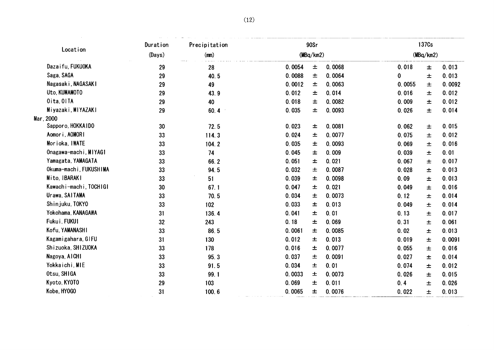|                        | Duration | Precipitation | 90Sr   |           |        | 137 <sub>Cs</sub> |           |        |  |
|------------------------|----------|---------------|--------|-----------|--------|-------------------|-----------|--------|--|
| Location               | (Days)   | (m)           |        | (MBq/km2) |        |                   | (MBq/km2) |        |  |
| Dazaifu, FUKUOKA       | 29       | 28            | 0.0054 | 土         | 0.0068 | 0.018             | $\pm$     | 0.013  |  |
| Saga, SAGA             | 29       | 40.5          | 0.0088 | 土         | 0.0064 | 0                 | 士         | 0.013  |  |
| Nagasaki, NAGASAKI     | 29       | 49            | 0.0012 | 土         | 0.0063 | 0.0055            | 土         | 0.0092 |  |
| Uto, KUMAMOTO          | 29       | 43.9          | 0.012  | 土         | 0.014  | 0.016             | 土         | 0.012  |  |
| Oita, OITA             | 29       | 40            | 0.018  | 土         | 0.0082 | 0.009             | 土         | 0.012  |  |
| Miyazaki, MIYAZAKI     | 29       | 60.4          | 0.035  | 土         | 0.0093 | 0.026             | 土         | 0.014  |  |
| Mar, 2000              |          |               |        |           |        |                   |           |        |  |
| Sapporo, HOKKAIDO      | 30       | 72.5          | 0.023  | $\pm$     | 0.0081 | 0.062             | $\pm$     | 0.015  |  |
| Aomori, AOMORI         | 33       | 114.3         | 0.024  | 土         | 0.0077 | 0.075             | 土         | 0.012  |  |
| Morioka, IWATE         | 33       | 104.2         | 0.035  | $\pm$     | 0.0093 | 0.069             | $\pm$     | 0.016  |  |
| Onagawa-machi, MIYAGI  | 33       | 74            | 0.045  | 土         | 0.009  | 0.039             | 土         | 0.01   |  |
| Yamagata, YAMAGATA     | 33       | 66.2          | 0.051  | 土         | 0.021  | 0.067             | $\pm$     | 0.017  |  |
| Okuma-machi, FUKUSHIMA | 33       | 94.5          | 0.032  | 土         | 0.0087 | 0.028             | $\pm$     | 0.013  |  |
| Mito, IBARAKI          | 33       | 51            | 0.039  | 土         | 0.0098 | 0.09              | $\pm$     | 0.013  |  |
| Kawachi-machi, TOCHIGI | 30       | 67.1          | 0.047  | 土         | 0.021  | 0.049             | 土         | 0.016  |  |
| Urawa, SAITAMA         | 33       | 70.5          | 0.034  | 土         | 0.0073 | 0.12              | 土         | 0.014  |  |
| Shinjuku, TOKYO        | 33       | 102           | 0.033  | $\pm$     | 0.013  | 0.049             | $\pm$     | 0.014  |  |
| Yokohama, KANAGAWA     | 31       | 136.4         | 0.041  | 士         | 0.01   | 0.13              | $\pm$     | 0.017  |  |
| Fukui, FUKUI           | 32       | 243           | 0.18   | 士         | 0.069  | 0.31              | $\pm$     | 0.061  |  |
| Kofu, YAMANASHI        | 33       | 86.5          | 0.0061 | ᆂ         | 0.0085 | 0.02              | $\pm$     | 0.013  |  |
| Kagamigahara, GIFU     | 31       | 130           | 0.012  | 土         | 0.013  | 0.019             | 土         | 0.0091 |  |
| Shizuoka, SHIZUOKA     | 33       | 178           | 0.016  | 士         | 0.0077 | 0.055             | $\pm$     | 0.016  |  |
| Nagoya, AICHI          | 33       | 95.3          | 0.037  | ᆂ         | 0.0091 | 0.027             | 士         | 0.014  |  |
| Yokkaichi, MIE         | 33       | 91.5          | 0.034  | $\pm$     | 0.01   | 0.074             | 士         | 0.012  |  |
| Otsu, SHIGA            | 33       | 99.1          | 0.0033 | 土         | 0.0073 | 0.026             | 土         | 0.015  |  |
| Kyoto, KYOTO           | 29       | 103           | 0.069  | 土         | 0.011  | 0.4               | $\pm$     | 0.026  |  |
| Kobe, HY0GO            | 31       | 100.6         | 0.0065 | 土         | 0.0076 | 0.022             | $\pm$     | 0.013  |  |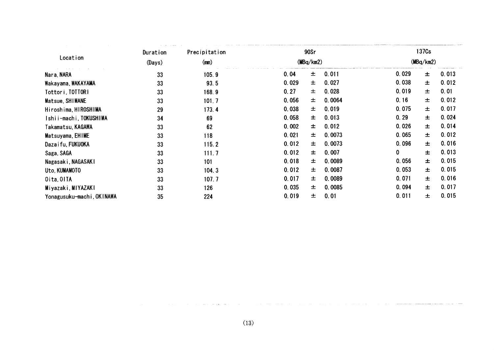|                           | Duration | Precipitation | 90Sr  |           |        | 137 <sub>Cs</sub> |           |       |  |
|---------------------------|----------|---------------|-------|-----------|--------|-------------------|-----------|-------|--|
| Location                  | (Days)   | (mn)          |       | (MBq/km2) |        |                   | (MBq/km2) |       |  |
| Nara, NARA                | 33       | 105.9         | 0.04  | $\pm$     | 0.011  | 0.029             | $\pm$     | 0.013 |  |
| Wakayama, WAKAYAMA        | 33       | 93.5          | 0.029 | 士         | 0.027  | 0.038             | 土         | 0.012 |  |
| Tottori, TOTTORI          | 33       | 168.9         | 0.27  | 土         | 0.028  | 0.019             | $\pm$     | 0.01  |  |
| Matsue, SHIMANE           | 33       | 101.7         | 0.056 | 土         | 0.0064 | 0.16              | $\pm$     | 0.012 |  |
| Hiroshima, HIROSHIMA      | 29       | 173.4         | 0.038 | 土         | 0.019  | 0.075             | $\pm$     | 0.017 |  |
| Ishii-machi, TOKUSHIMA    | 34       | 69            | 0.058 | 土         | 0.013  | 0.29              | $\pm$     | 0.024 |  |
| Takamatsu, KAGAWA         | 33       | 62            | 0.002 | 士         | 0.012  | 0.026             | $\pm$     | 0.014 |  |
| Matsuyama, EHIME          | 33       | 118           | 0.021 | 土         | 0.0073 | 0.065             | $\pm$     | 0.012 |  |
| Dazaifu, FUKUOKA          | 33       | 115.2         | 0.012 | 士         | 0.0073 | 0.096             | 土         | 0.016 |  |
| Saga, SAGA                | 33       | 111.7         | 0.012 | 士         | 0.007  | 0                 | $\pm$     | 0.013 |  |
| Nagasaki, NAGASAKI        | 33       | 101           | 0.018 | 士         | 0.0089 | 0.056             | $\pm$     | 0.015 |  |
| Uto, KUMAMOTO             | 33       | 104.3         | 0.012 | 土         | 0.0087 | 0.053             | $\pm$     | 0.015 |  |
| Oita, OITA                | 33       | 107.7         | 0.017 | 土         | 0.0089 | 0.071             | $\pm$     | 0.016 |  |
| Miyazaki, MIYAZAKI        | 33       | 126           | 0.035 | 士         | 0.0085 | 0.094             | $\pm$     | 0.017 |  |
| Yonagusuku-machi, OKINAWA | 35       | 224           | 0.019 | 土         | 0.01   | 0.011             | $\pm$     | 0.015 |  |
|                           |          |               |       |           |        |                   |           |       |  |
|                           |          |               |       |           |        |                   |           |       |  |
|                           |          |               |       |           |        |                   |           |       |  |
|                           |          |               |       |           |        |                   |           |       |  |
|                           |          |               |       |           |        |                   |           |       |  |

**Signal** للمحامد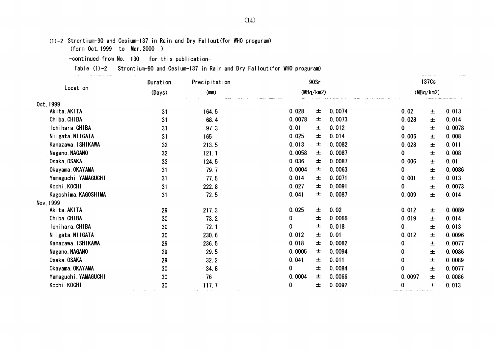$(1)-2$  Strontium-90 and Cesium-137 in Rain and Dry Fallout(for WHO proguram)

(form Oct.1999 to Nar.2000)

 $\sim$ 

-continued from No. 130 for this publication-

Table (1)-2 Strontium-90 and Cesium-137 in Rain and Dry Fallout(for WHO proguram)

| Location<br>Oct, 1999 |        | Precipitation |           | 90Sr      |        |              | 137Cs     |        |
|-----------------------|--------|---------------|-----------|-----------|--------|--------------|-----------|--------|
|                       | (Days) | (mn)          |           | (MBq/km2) |        |              | (MBq/km2) |        |
|                       |        |               |           |           |        |              |           |        |
| Akita, AKITA          | 31     | 164.5         | 0.028     | $\pm$     | 0.0074 | 0.02         | $\pm$     | 0.013  |
| Chiba, CHIBA          | 31     | 68.4          | 0.0078    | $\pm$     | 0.0073 | 0.028        | 土         | 0.014  |
| Ichihara, CHIBA       | 31     | 97.3          | 0.01      | $\pm$     | 0.012  | 0            | 士         | 0.0078 |
| Niigata, NIIGATA      | 31     | 165           | 0.025     | 土         | 0.014  | 0.006        | 土         | 0.008  |
| Kanazawa, ISHIKAWA    | 32     | 213.5         | 0.013     | $\pm$     | 0.0082 | 0.028        | 士         | 0.011  |
| Nagano, NAGANO        | 32     | 121.1         | 0.0058    | $\pm$     | 0.0087 | $\mathbf{0}$ | 士         | 0.008  |
| Osaka, OSAKA          | 33     | 124.5         | 0.036     | $\pm$     | 0.0087 | 0.006        | 士         | 0.01   |
| Okayama, OKAYAMA      | 31     | 79.7          | 0.0004    | $\pm$     | 0.0063 | 0            | 士         | 0.0086 |
| Yamaguchi, YAMAGUCHI  | 31     | 77.5          | 0.014     | $\pm$     | 0.0071 | 0.001        | 土         | 0.013  |
| Kochi, KOCHI          | 31     | 222.8         | 0.027     | $\pm$     | 0.0091 | 0            | $\pm$     | 0.0073 |
| Kagoshima, KAGOSHIMA  | 31     | 72.5          | 0.041     | 土         | 0.0087 | 0.009        | 士         | 0.014  |
| Nov. 1999             |        |               |           |           |        |              |           |        |
| Akita, AKITA          | 29     | 217.3         | 0.025     | $\pm$     | 0.02   | 0.012        | $\pm$     | 0.0089 |
| Chiba, CHIBA          | 30     | 73.2          | 0         | $\pm$     | 0.0066 | 0.019        | $\pm$     | 0.014  |
| Ichihara, CHIBA       | $30\,$ | 72.1          | 0         | $\pm$     | 0.018  | $\bf{0}$     | 士         | 0.013  |
| Niigata, NIIGATA      | 30     | 230.6         | 0.012     | $\pm$     | 0.01   | 0.012        | 土         | 0.0096 |
| Kanazawa, ISHIKAWA    | 29     | 236.5         | 0.018     | $\pm$     | 0.0082 | 0            | 土         | 0.0077 |
| Nagano, NAGANO        | 29     | 29.5          | 0.0005    | $\pm$     | 0.0094 | 0            | $\pm$     | 0.0086 |
| Osaka, OSAKA          | 29     | 32.2          | 0.041     | $\pm$     | 0.011  | 0            | 土         | 0.0089 |
| Okayama, OKAYAMA      | 30     | 34.8          | $\pmb{0}$ | $\pm$     | 0.0084 | 0            | 士         | 0.0077 |
| Yamaguchi, YAMAGUCHI  | 30     | ${\bf 76}$    | 0.0004    | $\pm$     | 0.0066 | 0.0097       | $\pm$     | 0.0086 |
| Kochi, KOCHI          | $30\,$ | 117.7         | 0         | 士         | 0.0092 | $\pmb{0}$    | $\pm$     | 0.013  |
|                       |        |               |           |           |        |              |           |        |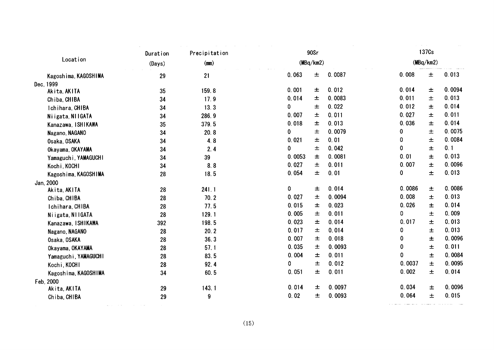|                      | Duration | Precipitation |             | 90Sr      |        |             | 137Cs     |        |
|----------------------|----------|---------------|-------------|-----------|--------|-------------|-----------|--------|
| Location             | (Days)   | (mn)          |             | (MBq/km2) |        |             | (MBq/km2) |        |
| Kagoshima, KAGOSHIMA | 29       | 21            | 0.063       | 土         | 0.0087 | 0.008       | $\pm$     | 0.013  |
| Dec, 1999            |          |               |             |           |        |             |           |        |
| Akita, AKITA         | 35       | 159.8         | 0.001       | 土         | 0.012  | 0.014       | 土         | 0.0094 |
| Chiba, CHIBA         | 34       | 17.9          | 0.014       | 土         | 0.0083 | 0.011       | 土         | 0.013  |
| Ichihara, CHIBA      | 34       | 13.3          | 0           | 土         | 0.022  | 0.012       | $\pm$     | 0.014  |
| Niigata, NIIGATA     | 34       | 286.9         | 0.007       | $\pm$     | 0.011  | 0.027       | 土         | 0.011  |
| Kanazawa, ISHIKAWA   | 35       | 379.5         | 0.018       | $\pm$     | 0.013  | 0.036       | $\pm$     | 0.014  |
| Nagano, NAGANO       | 34       | 20.8          | $\mathbf 0$ | 士         | 0.0079 | 0           | $\pm$     | 0.0075 |
| Osaka, OSAKA         | 34       | 4.8           | 0.021       | 士         | 0.01   | 0           | $\pm$     | 0.0084 |
| Okayama, OKAYAMA     | 34       | 2.4           | 0           | 士         | 0.042  | 0           | 士         | 0.1    |
| Yamaguchi, YAMAGUCHI | 34       | 39            | 0.0053      | 士         | 0.0081 | 0.01        | $\pm$     | 0.013  |
| Kochi, KOCHI         | 34       | 8.8           | 0.027       | $\pm$     | 0.011  | 0.007       | $\pm$     | 0.0096 |
| Kagoshima, KAGOSHIMA | 28       | 18.5          | 0.054       | $\pm$     | 0.01   | 0           | $\pm$     | 0.013  |
| Jan, 2000            |          |               |             |           |        |             |           |        |
| Akita, AKITA         | 28       | 241.1         | $\pmb{0}$   | 土         | 0.014  | 0.0086      | 士         | 0.0086 |
| Chiba, CHIBA         | 28       | 70.2          | 0.027       | $\pm$     | 0.0094 | 0.008       | 土         | 0.013  |
| Ichihara, CHIBA      | 28       | 77.5          | 0.015       | $\pm$     | 0.023  | 0.026       | $\pm$     | 0.014  |
| Niigata, NIIGATA     | 28       | 129.1         | 0.005       | $\pm$     | 0.011  | 0           | 土         | 0.009  |
| Kanazawa, ISHIKAWA   | 392      | 198.5         | 0.023       | $\pm$     | 0.014  | 0.017       | 士         | 0.013  |
| Nagano, NAGANO       | 28       | 20.2          | 0.017       | $\pm$     | 0.014  | 0           | $\pm$     | 0.013  |
| Osaka, OSAKA         | 28       | 36.3          | 0.007       | $\pm$     | 0.018  | 0           | $\pm$     | 0.0096 |
| Okayama, OKAYAMA     | 28       | 57.1          | 0.035       | $\pm$     | 0.0093 | $\mathbf 0$ | $\pm$     | 0.011  |
| Yamaguchi, YAMAGUCHI | 28       | 83.5          | 0.004       | $\pm$     | 0.011  | 0           | 士         | 0.0084 |
| Kochi, KOCHI         | 28       | 92.4          | 0           | $\pm$     | 0.012  | 0.0037      | $\pm$     | 0.0095 |
| Kagoshima, KAGOSHIMA | 34       | 60.5          | 0.051       | 土         | 0.011  | 0.002       | $\pm$     | 0.014  |
| Feb, 2000            |          |               |             |           |        |             |           |        |
| Akita, AKITA         | 29       | 143.1         | 0.014       | $\pm$     | 0.0097 | 0.034       | 土         | 0.0096 |
| Chiba, CHIBA         | 29       | 9             | 0.02        | 士         | 0.0093 | 0.064       | 士         | 0.015  |
|                      |          | (15)          |             |           |        |             |           |        |
|                      |          |               |             |           |        |             |           |        |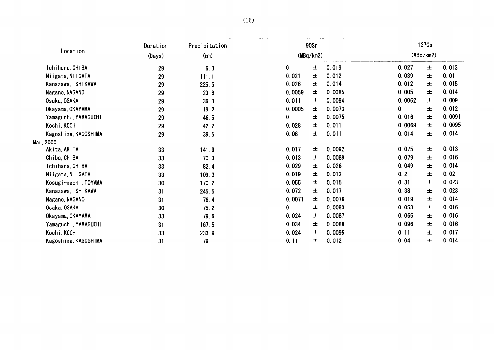|        | 137 <sub>Cs</sub> |        |        | 90Sr      |             | Precipitation | Duration |                      |
|--------|-------------------|--------|--------|-----------|-------------|---------------|----------|----------------------|
|        | (MBq/km2)         |        |        | (MBq/km2) |             | (mn)          | (Days)   | Location             |
| 0.013  | 土                 | 0.027  | 0.019  | $\pm$     | $\mathbf 0$ | 6.3           | 29       | Ichihara, CHIBA      |
| 0.01   | 士                 | 0.039  | 0.012  | $\pm$     | 0.021       | 111.1         | 29       | Niigata, NIIGATA     |
| 0.015  | $\pm$             | 0.012  | 0.014  | $\pm$     | 0.026       | 225.5         | 29       | Kanazawa, ISHIKAWA   |
| 0.014  | $\pm$             | 0.005  | 0.0085 | 土         | 0.0059      | 23.8          | 29       | Nagano, NAGANO       |
| 0.009  | $\pm$             | 0.0062 | 0.0084 | 土         | 0.011       | 36.3          | 29       | Osaka, OSAKA         |
| 0.012  | $\pm$             | 0      | 0.0073 | 士         | 0.0005      | 19.2          | 29       | Okayama, OKAYAMA     |
| 0.0091 | $\pm$             | 0.016  | 0.0075 | $\pm$     | 0           | 46.5          | 29       | Yamaguchi, YAMAGUCHI |
| 0.0095 | $\pm$             | 0.0069 | 0.011  | 士         | 0.028       | 42.2          | 29       | Kochi, KOCHI         |
| 0.014  | $\pm$             | 0.014  | 0.011  | $\pm$     | 0.08        | 39.5          | 29       | Kagoshima, KAGOSHIMA |
|        |                   |        |        |           |             |               |          | Mar, 2000            |
| 0.013  | 土                 | 0.075  | 0.0092 | 土         | 0.017       | 141.9         | 33       | Akita, AKITA         |
| 0.016  | $\pm$             | 0.079  | 0.0089 | $\pm$     | 0.013       | 70.3          | 33       | Chiba, CHIBA         |
| 0.014  | 土                 | 0.049  | 0.026  | 土         | 0.029       | 82.4          | 33       | Ichihara, CHIBA      |
| 0.02   | $\pm$             | 0.2    | 0.012  | $\pm$     | 0.019       | 109.3         | 33       | Niigata, NIIGATA     |
| 0.023  | 士                 | 0.31   | 0.015  | $\pm$     | 0.055       | 170.2         | 30       | Kosugi-machi, TOYAMA |
| 0.023  | $\pm$             | 0.38   | 0.017  | 土         | 0.072       | 245.5         | 31       | Kanazawa, ISHIKAWA   |
| 0.014  | $\pm$             | 0.019  | 0.0076 | $\pm$     | 0.0071      | 76.4          | 31       | Nagano, NAGANO       |
| 0.016  | $\pm$             | 0.053  | 0.0083 | $\pm$     | 0           | 75.2          | 30       | Osaka, OSAKA         |
| 0.016  | 士                 | 0.065  | 0.0087 | 士         | 0.024       | 79.6          | 33       | Okayama, OKAYAMA     |
| 0.016  | $\pm$             | 0.096  | 0.0088 | $\pm$     | 0.034       | 167.5         | 31       | Yamaguchi, YAMAGUCHI |
| 0.017  | 土                 | 0.11   | 0.0095 | $\pm$     | 0.024       | 233.9         | 33       | Kochi, KOCHI         |
| 0.014  | 士                 | 0.04   | 0.012  | $\pm$     | 0.11        | 79            | 31       | Kagoshima, KAGOSHIMA |
|        |                   |        |        |           |             |               |          |                      |
|        |                   |        |        |           |             |               |          |                      |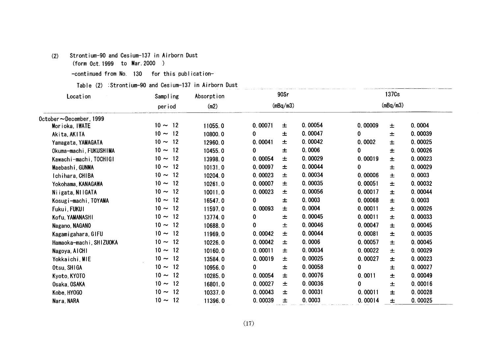# (2) Strontium-90and Cesium-137in Airborn Dust

(form Oct.1999 to Mar.2000)

-continued from No. 130 for this publication-

Table (2) :Strontium-90 and Cesium-137 in Airborn Dust

| Location<br>Sampling<br>(m2)<br>period<br>October~December, 1999<br>$10 \sim 12$<br>11055.0<br>Morioka, IWATE<br>$10 \sim 12$<br>10800.0<br>Akita, AKITA<br>$10 \sim 12$<br>12960.0<br>Yamagata, YAMAGATA<br>$10 \sim 12$<br>Okuma-machi, FUKUSHIMA<br>10455.0<br>$10 \sim 12$<br>13998.0<br>Kawachi-machi, TOCHIGI<br>$10 \sim 12$<br>10131.0<br>Maebashi, GUNMA<br>$10 \sim 12$<br>10204.0<br>Ichihara, CHIBA<br>$10 \sim 12$<br>10261.0<br>Yokohama, KANAGAWA<br>$10 \sim 12$<br>10011.0<br>Niigata, NIIGATA<br>$10 \sim 12$<br>16547.0<br>Kosugi-machi, TOYAMA<br>$10 \sim 12$<br>11597.0<br>Fukui, FUKUI<br>$10 \sim 12$<br>13774.0<br>Kofu, YAMANASHI<br>$10 \sim 12$<br>Nagano, NAGANO<br>10688.0<br>$10 \sim 12$<br>Kagamigahara, GIFU<br>11969.0<br>$10 \sim 12$<br>10226.0<br>Hamaoka-machi, SHIZUOKA<br>$10 \sim 12$<br>10160.0<br>Nagoya, AICHI<br>$10 \sim 12$<br>13584.0<br>Yokkaichi, MIE<br>$10 \sim 12$<br>10956.0<br>Otsu, SHIGA<br>$10 \sim 12$<br>10285.0<br>Kyoto, KYOTO<br>$10 \sim 12$<br>16801.0<br>Osaka, OSAKA | 0.00071<br>0<br>0.00041<br>0<br>0.00054<br>0.00097<br>0.00023<br>0.00007<br>0.00023<br>0<br>0.00093<br>0<br>0 | (mBq/m3)<br>$\pm$<br>$\pm$<br>土<br>$\pm$<br>$\pm$<br>土<br>$\pm$<br>$\pm$<br>$\pm$<br>$\pm$<br>$\pm$<br>$\pm$ | 0.00054<br>0.00047<br>0.00042<br>0.0006<br>0.00029<br>0.00044<br>0.00034<br>0.00035<br>0.00056<br>0.0003<br>0.0004 | 0.00009<br>0<br>0.0002<br>0<br>0.00019<br>0<br>0.00006<br>0.00051<br>0.00017 | (mBq/m3)<br>$\pm$<br>$\pm$<br>$\pm$<br>$\pm$<br>$\pm$<br>$\pm$<br>$\pm$<br>$\pm$ | 0.0004<br>0.00039<br>0.00025<br>0.00026<br>0.00023<br>0.00029<br>0.0003<br>0.00032 |
|------------------------------------------------------------------------------------------------------------------------------------------------------------------------------------------------------------------------------------------------------------------------------------------------------------------------------------------------------------------------------------------------------------------------------------------------------------------------------------------------------------------------------------------------------------------------------------------------------------------------------------------------------------------------------------------------------------------------------------------------------------------------------------------------------------------------------------------------------------------------------------------------------------------------------------------------------------------------------------------------------------------------------------------|---------------------------------------------------------------------------------------------------------------|--------------------------------------------------------------------------------------------------------------|--------------------------------------------------------------------------------------------------------------------|------------------------------------------------------------------------------|----------------------------------------------------------------------------------|------------------------------------------------------------------------------------|
|                                                                                                                                                                                                                                                                                                                                                                                                                                                                                                                                                                                                                                                                                                                                                                                                                                                                                                                                                                                                                                          |                                                                                                               |                                                                                                              |                                                                                                                    |                                                                              |                                                                                  |                                                                                    |
|                                                                                                                                                                                                                                                                                                                                                                                                                                                                                                                                                                                                                                                                                                                                                                                                                                                                                                                                                                                                                                          |                                                                                                               |                                                                                                              |                                                                                                                    |                                                                              |                                                                                  |                                                                                    |
|                                                                                                                                                                                                                                                                                                                                                                                                                                                                                                                                                                                                                                                                                                                                                                                                                                                                                                                                                                                                                                          |                                                                                                               |                                                                                                              |                                                                                                                    |                                                                              |                                                                                  |                                                                                    |
|                                                                                                                                                                                                                                                                                                                                                                                                                                                                                                                                                                                                                                                                                                                                                                                                                                                                                                                                                                                                                                          |                                                                                                               |                                                                                                              |                                                                                                                    |                                                                              |                                                                                  |                                                                                    |
|                                                                                                                                                                                                                                                                                                                                                                                                                                                                                                                                                                                                                                                                                                                                                                                                                                                                                                                                                                                                                                          |                                                                                                               |                                                                                                              |                                                                                                                    |                                                                              |                                                                                  |                                                                                    |
|                                                                                                                                                                                                                                                                                                                                                                                                                                                                                                                                                                                                                                                                                                                                                                                                                                                                                                                                                                                                                                          |                                                                                                               |                                                                                                              |                                                                                                                    |                                                                              |                                                                                  |                                                                                    |
|                                                                                                                                                                                                                                                                                                                                                                                                                                                                                                                                                                                                                                                                                                                                                                                                                                                                                                                                                                                                                                          |                                                                                                               |                                                                                                              |                                                                                                                    |                                                                              |                                                                                  |                                                                                    |
|                                                                                                                                                                                                                                                                                                                                                                                                                                                                                                                                                                                                                                                                                                                                                                                                                                                                                                                                                                                                                                          |                                                                                                               |                                                                                                              |                                                                                                                    |                                                                              |                                                                                  |                                                                                    |
|                                                                                                                                                                                                                                                                                                                                                                                                                                                                                                                                                                                                                                                                                                                                                                                                                                                                                                                                                                                                                                          |                                                                                                               |                                                                                                              |                                                                                                                    |                                                                              |                                                                                  |                                                                                    |
|                                                                                                                                                                                                                                                                                                                                                                                                                                                                                                                                                                                                                                                                                                                                                                                                                                                                                                                                                                                                                                          |                                                                                                               |                                                                                                              |                                                                                                                    |                                                                              |                                                                                  |                                                                                    |
|                                                                                                                                                                                                                                                                                                                                                                                                                                                                                                                                                                                                                                                                                                                                                                                                                                                                                                                                                                                                                                          |                                                                                                               |                                                                                                              |                                                                                                                    |                                                                              | $\pm$                                                                            | 0.00044                                                                            |
|                                                                                                                                                                                                                                                                                                                                                                                                                                                                                                                                                                                                                                                                                                                                                                                                                                                                                                                                                                                                                                          |                                                                                                               |                                                                                                              |                                                                                                                    | 0.00068                                                                      | $\pm$                                                                            | 0.0003                                                                             |
|                                                                                                                                                                                                                                                                                                                                                                                                                                                                                                                                                                                                                                                                                                                                                                                                                                                                                                                                                                                                                                          |                                                                                                               |                                                                                                              |                                                                                                                    | 0.00011                                                                      | $\pm$                                                                            | 0.00026                                                                            |
|                                                                                                                                                                                                                                                                                                                                                                                                                                                                                                                                                                                                                                                                                                                                                                                                                                                                                                                                                                                                                                          |                                                                                                               |                                                                                                              | 0.00045                                                                                                            | 0.00011                                                                      | $\pm$                                                                            | 0.00033                                                                            |
|                                                                                                                                                                                                                                                                                                                                                                                                                                                                                                                                                                                                                                                                                                                                                                                                                                                                                                                                                                                                                                          |                                                                                                               | $\pm$                                                                                                        | 0.00046                                                                                                            | 0.00047                                                                      | $\pm$                                                                            | 0.00045                                                                            |
|                                                                                                                                                                                                                                                                                                                                                                                                                                                                                                                                                                                                                                                                                                                                                                                                                                                                                                                                                                                                                                          | 0.00042                                                                                                       | $\pm$                                                                                                        | 0.00044                                                                                                            | 0.00081                                                                      | $\pm$                                                                            | 0.00035                                                                            |
|                                                                                                                                                                                                                                                                                                                                                                                                                                                                                                                                                                                                                                                                                                                                                                                                                                                                                                                                                                                                                                          | 0.00042                                                                                                       | $\pm$                                                                                                        | 0.0006                                                                                                             | 0.00057                                                                      | $\pm$                                                                            | 0.00045                                                                            |
|                                                                                                                                                                                                                                                                                                                                                                                                                                                                                                                                                                                                                                                                                                                                                                                                                                                                                                                                                                                                                                          | 0.00011                                                                                                       | $\pm$                                                                                                        | 0.00034                                                                                                            | 0.00022                                                                      | 土                                                                                | 0.00029                                                                            |
|                                                                                                                                                                                                                                                                                                                                                                                                                                                                                                                                                                                                                                                                                                                                                                                                                                                                                                                                                                                                                                          | 0.00019                                                                                                       | 土                                                                                                            | 0.00025                                                                                                            | 0.00027                                                                      | 士                                                                                | 0.00023                                                                            |
|                                                                                                                                                                                                                                                                                                                                                                                                                                                                                                                                                                                                                                                                                                                                                                                                                                                                                                                                                                                                                                          | 0                                                                                                             | $\pm$                                                                                                        | 0.00058                                                                                                            | 0                                                                            | $\pm$                                                                            | 0.00027                                                                            |
|                                                                                                                                                                                                                                                                                                                                                                                                                                                                                                                                                                                                                                                                                                                                                                                                                                                                                                                                                                                                                                          | 0.00054                                                                                                       | $\pm$                                                                                                        | 0.00076                                                                                                            | 0.0011                                                                       | 士                                                                                | 0.00049                                                                            |
|                                                                                                                                                                                                                                                                                                                                                                                                                                                                                                                                                                                                                                                                                                                                                                                                                                                                                                                                                                                                                                          | 0.00027                                                                                                       | $\pm$                                                                                                        | 0.00036                                                                                                            | 0                                                                            | $\pm$                                                                            | 0.00016                                                                            |
| $10 \sim 12$<br>10337.0<br>Kobe, HYOGO                                                                                                                                                                                                                                                                                                                                                                                                                                                                                                                                                                                                                                                                                                                                                                                                                                                                                                                                                                                                   | 0.00043                                                                                                       | 土                                                                                                            | 0.00031                                                                                                            | 0.00011                                                                      | $\pm$                                                                            | 0.00028                                                                            |
| $10 \sim 12$<br>11396.0<br>Nara, NARA                                                                                                                                                                                                                                                                                                                                                                                                                                                                                                                                                                                                                                                                                                                                                                                                                                                                                                                                                                                                    | 0.00039                                                                                                       | 士                                                                                                            | 0.0003                                                                                                             | 0.00014                                                                      | 士                                                                                | 0.00025                                                                            |
|                                                                                                                                                                                                                                                                                                                                                                                                                                                                                                                                                                                                                                                                                                                                                                                                                                                                                                                                                                                                                                          | (17)                                                                                                          |                                                                                                              |                                                                                                                    |                                                                              |                                                                                  |                                                                                    |

.<br>2020 - 2021 - Agustin Alex III, amerikan asl antikel angeles mengeles personalitas personalitas (mengeles men

 $\sim$  2  $\pm$  2  $\pm$  2  $\pm$  2  $\pm$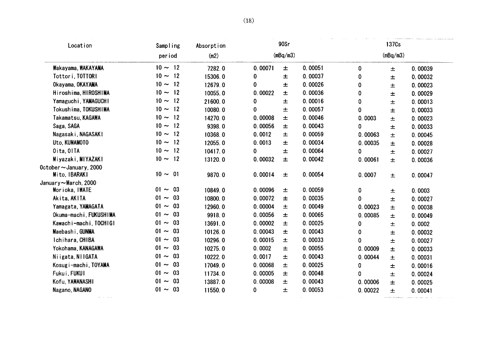| Location                                | Sampling       | Absorption |         | 90Sr     |         |             | 137 <sub>Cs</sub> |         |
|-----------------------------------------|----------------|------------|---------|----------|---------|-------------|-------------------|---------|
|                                         | period         | (m2)       |         | (mBq/m3) |         |             | (mBq/m3)          |         |
| Wakayama, WAKAYAMA                      | $10 \sim 12$   | 7282.0     | 0.00071 | 士        | 0.00051 | $\mathbf 0$ | $\pm$             | 0.00039 |
| Tottori, TOTTORI                        | $10 \sim 12$   | 15306.0    | 0       | 土        | 0.00037 | 0           | 士                 | 0.00032 |
| Okayama, OKAYAMA                        | $10 \sim 12$   | 12679.0    | 0       | 土        | 0.00026 | 0           | $\pm$             | 0.00023 |
| Hiroshima, HIROSHIMA                    | $10 \sim 12$   | 10055.0    | 0.00022 | $\pm$    | 0.00036 | 0           | $\pm$             | 0.00029 |
| Yamaguchi, YAMAGUCHI                    | $10 \sim 12$   | 21600.0    | 0       | 士        | 0.00016 | 0           | 士                 | 0.00013 |
| Tokushima, TOKUSHIMA                    | $10 \sim 12$   | 10080.0    | 0       | 土        | 0.00057 | $\bf{0}$    | $\pm$             | 0.00033 |
| Takamatsu, KAGAWA                       | $10 \sim 12$   | 14270.0    | 0.00008 | $\pm$    | 0.00046 | 0.0003      | 土                 | 0.00023 |
| Saga, SAGA                              | $10 \sim 12$   | 9398.0     | 0.00056 | 士        | 0.00043 | 0           | 土                 | 0.00033 |
| Nagasaki, NAGASAKI                      | $10 \sim 12$   | 10368.0    | 0.0012  | 土        | 0.00059 | 0.00063     | 士                 | 0.00045 |
| Uto, KUMAMOTO                           | $10 \sim 12$   | 12055.0    | 0.0013  | 土        | 0.00034 | 0.00035     | 士                 | 0.00028 |
| Oita, OITA                              | $10 \sim 12$   | 10417.0    | 0       | 土        | 0.00064 | 0           | $\pm$             | 0.00027 |
| Miyazaki, MIYAZAKI                      | $10 \sim 12$   | 13120.0    | 0.00032 | $\pm$    | 0.00042 | 0.00061     | 土                 | 0.00036 |
| October ~January, 2000<br>Mito, IBARAKI | $10 \sim 01$   | 9870.0     | 0.00014 | 士        | 0.00054 | 0.0007      | $\pm$             | 0.00047 |
| January~March, 2000                     |                |            |         |          |         |             |                   |         |
| Morioka, IWATE                          | $01 - 03$      | 10849.0    | 0.00096 | 土        | 0.00059 | 0           | 土                 | 0.0003  |
| Akita, AKITA                            | $01 - 03$      | 10800.0    | 0.00072 | 土        | 0.00035 | 0           | 土                 | 0.00027 |
| Yamagata, YAMAGATA                      | $01 - 03$      | 12960.0    | 0.00004 | 土        | 0.00049 | 0.00023     | 士                 | 0.00038 |
| Okuma-machi, FUKUSHIMA                  | $01 - 03$      | 9918.0     | 0.00056 | 士        | 0.00065 | 0.00085     | 士                 | 0.00049 |
| Kawachi-machi, TOCHIGI                  | $01 - 03$      | 13691.0    | 0.00002 | 士        | 0.00025 | 0           | $\pm$             | 0.0002  |
| Maebashi, GUNMA                         | $01 - 03$      | 10126.0    | 0.00043 | $\pm$    | 0.00043 | $\bf{0}$    | 士                 | 0.00032 |
| Ichihara, CHIBA                         | $01 \sim 03$   | 10296.0    | 0.00015 | 土        | 0.00033 | 0           | 士                 | 0.00027 |
| Yokohama, KANAGAWA                      | $01 \sim 03$   | 10275.0    | 0.0002  | 士        | 0.00055 | 0.00009     | 土                 | 0.00033 |
| Niigata, NIIGATA                        | $01 - 03$      | 10222.0    | 0.0017  | 士        | 0.00043 | 0.00044     | 土                 | 0.00031 |
| Kosugi-machi, TOYAMA                    | $01 -$<br>- 03 | 17049.0    | 0.00068 | 士        | 0.00025 | 0           | $\pm$             | 0.00016 |
| Fukui, FUKUI                            | $01 - 03$      | 11734.0    | 0.00005 | $\pm$    | 0.00048 | 0           | 士                 | 0.00024 |
| Kofu, YAMANASHI                         | $01 - 03$      | 13887.0    | 0.00008 | 土        | 0.00043 | 0.00006     | 土                 | 0.00025 |
| Nagano, NAGANO                          | $01 - 03$      | 11550.0    | 0       | 士        | 0.00053 | 0.00022     | 土                 | 0.00041 |

(18)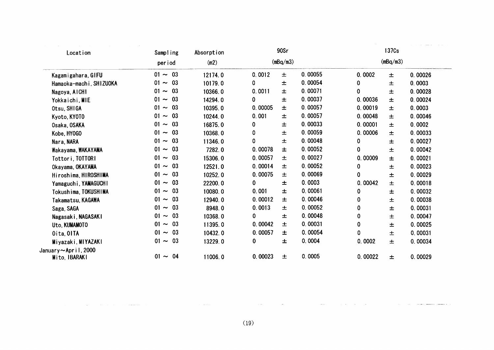| Location                             | Sampling          | Absorption |         | 90Sr     |         |         | 137Cs    |         |
|--------------------------------------|-------------------|------------|---------|----------|---------|---------|----------|---------|
|                                      | period            | (m2)       |         | (mBq/m3) |         |         | (mBq/m3) |         |
| Kagamigahara, GIFU                   | $01 - 03$         | 12174.0    | 0.0012  | $\pm$    | 0.00055 | 0.0002  | $\pm$    | 0.00026 |
| Hamaoka-machi, SHIZUOKA              | $01 - 03$         | 10179.0    | 0       | 士        | 0.00054 | 0       | 士        | 0.0003  |
| Nagoya, AICHI                        | $01 - 03$         | 10366.0    | 0.0011  | $\pm$    | 0.00071 | 0       | $\pm$    | 0.00028 |
| Yokkaichi, MIE                       | 03<br>$01 -$      | 14294.0    | 0       | $\pm$    | 0.00037 | 0.00036 | 土        | 0.00024 |
| Otsu, SHIGA                          | $01 \sim$<br>- 03 | 10395.0    | 0.00005 | 士        | 0.00057 | 0.00019 | 土        | 0.0003  |
| Kyoto, KYOTO                         | 03<br>$01 \sim$   | 10244.0    | 0.001   | $\pm$    | 0.00057 | 0.00048 | $\pm$    | 0.00046 |
| Osaka, OSAKA                         | $01 - 03$         | 16875.0    | 0       | 土        | 0.00033 | 0.00001 | 士        | 0.0002  |
| Kobe, HY0GO                          | 03<br>$01 \sim$   | 10368.0    | 0       | 士        | 0.00059 | 0.00006 | 士        | 0.00033 |
| Nara, NARA                           | $01 - 03$         | 11346.0    | 0       | $\pm$    | 0.00048 | 0       | 土        | 0.00027 |
| Wakayama, WAKAYAMA                   | $01 \sim 03$      | 7282.0     | 0.00078 | $\pm$    | 0.00052 | 0       | $\pm$    | 0.00042 |
| Tottori, TOTTORI                     | $01 \sim 03$      | 15306.0    | 0.00057 | 土        | 0.00027 | 0.00009 | $\pm$    | 0.00021 |
| Okayama, OKAYAMA                     | $01 - 03$         | 12521.0    | 0.00014 | 土        | 0.00052 | 0       | 士        | 0.00023 |
| Hiroshima, HIROSHIMA                 | 03<br>$01 \sim$   | 10252.0    | 0.00075 | 士        | 0.00069 | 0       | 士        | 0.00029 |
| Yamaguchi, YAMAGUCHI                 | $01 - 03$         | 22200.0    | 0       | $\pm$    | 0.0003  | 0.00042 | 士        | 0.00018 |
| Tokushima, TOKUSHIMA                 | $01 \sim$<br>- 03 | 10080.0    | 0.001   | $\pm$    | 0.00061 | 0       | 土        | 0.00032 |
| Takamatsu, KAGAWA                    | - 03<br>$01 -$    | 12940.0    | 0.00012 | 士        | 0.00046 | 0       | 士        | 0.00038 |
| Saga, SAGA                           | 03<br>$01 \sim$   | 8948.0     | 0.0013  | 士        | 0.00052 | 0       | 土        | 0.00031 |
| Nagasaki, NAGASAKI                   | $01 - 03$         | 10368.0    | 0       | $\pm$    | 0.00048 | 0       | 士        | 0.00047 |
| Uto, KUMAMOTO                        | 03<br>$01 \sim$   | 11395.0    | 0.00042 | $\pm$    | 0.00031 | 0       | 土        | 0.00025 |
| Oita, OITA                           | 03<br>01 $\sim$   | 10432.0    | 0.00057 | 士        | 0.00054 | 0       | 士        | 0.00031 |
| Miyazaki, MIYAZAKI                   | $01 - 03$         | 13229.0    | 0       | 士        | 0.0004  | 0.0002  | 土        | 0.00034 |
| January~April, 2000<br>Mito, IBARAKI | $01 - 04$         | 11006.0    | 0.00023 | $\pm$    | 0.0005  | 0.00022 | $\pm$    | 0.00029 |

 $\sim$ 

 $\sim$   $\sim$  .

 $\bar{z}$ 

 $\mathcal{L}^{\mathcal{L}}$  and  $\mathcal{L}^{\mathcal{L}}$  are the set of the set of the set of the set of the set of the set of the set of the set of the set of the set of the set of the set of the set of the set of the set of the set of the s

 $\sim 100$ 

والمستنقذ المنافذ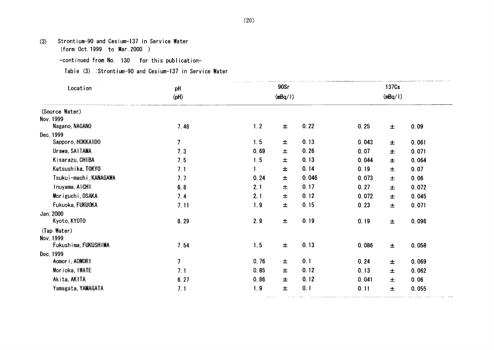(3) Strontium-90 and Cesium-137 in Service Water

(form Oct.1999 to Nar.2000)

-continued from No. 130 for this publication-

Table (3) : Strontium-90 and Cesium-137 in Service Water

| Location               | pH<br>(Hq)     |      | 90Sr<br>(mBq/1) |       |       | 137 <sub>Cs</sub><br>(mBq/1) |       |  |
|------------------------|----------------|------|-----------------|-------|-------|------------------------------|-------|--|
| (Source Water)         |                |      |                 |       |       |                              |       |  |
| Nov. 1999              |                |      |                 |       |       |                              |       |  |
| Nagano, NAGANO         | 7.48           | 1.2  | $\pm$           | 0.22  | 0.25  | $\pm$                        | 0.09  |  |
| Dec, 1999              |                |      |                 |       |       |                              |       |  |
| Sapporo, HOKKAIDO      | $\overline{1}$ | 1.5  | $\pm$           | 0.13  | 0.043 | 土                            | 0.061 |  |
| Urawa, SAITAMA         | 7.3            | 0.69 | $\pm$           | 0.26  | 0.07  | 士                            | 0.071 |  |
| Kisarazu, CHIBA        | 7.5            | 1.5  | $\pm$           | 0.13  | 0.044 | 士                            | 0.064 |  |
| Katsushika, TOKYO      | 7.1            | 1.   | $\pm$           | 0.14  | 0.19  | $\pm$                        | 0.07  |  |
| Tsukui-machi, KANAGAWA | 7.7            | 0.24 | 土               | 0.046 | 0.073 | 土                            | 0.06  |  |
| Inuyama, AICHI         | 6.8            | 2.1  | $\pm$           | 0.17  | 0.27  | $\pm$                        | 0.072 |  |
| Moriguchi, OSAKA       | 7.4            | 2.1  | $\pm$           | 0.12  | 0.072 | $\pm$                        | 0.045 |  |
| Fukuoka, FUKUOKA       | 7.11           | 1.9  | $\pm$           | 0.15  | 0.23  | $\pm$                        | 0.071 |  |
| Jan, 2000              |                |      |                 |       |       |                              |       |  |
| Kyoto, KYOTO           | 8.29           | 2.9  | $\pm$           | 0.19  | 0.19  | $\pm$                        | 0.096 |  |
| (Tap Water)            |                |      |                 |       |       |                              |       |  |
| Nov. 1999              |                |      |                 |       |       |                              |       |  |
| Fukushima, FUKUSHIMA   | 7.54           | 1.5  | $\pm$           | 0.13  | 0.086 | $\pm$                        | 0.058 |  |
| Dec. 1999              |                |      |                 |       |       |                              |       |  |
| Aomori, AOMORI         | 7              | 0.76 | 士               | 0.1   | 0.24  | 士                            | 0.069 |  |
| Morioka, IWATE         | 7.1            | 0.85 | 土               | 0.12  | 0.13  | 士                            | 0.062 |  |
| Akita, AKITA           | 6.27           | 0.86 | 土               | 0.12  | 0.041 | 土                            | 0.06  |  |
| Yamagata, YAMAGATA     | 7.1            | 1.9  | $\pm$           | 0.1   | 0.11  | $\pm$                        | 0.055 |  |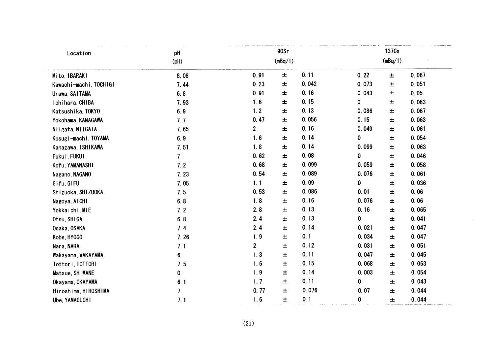| Location               | pH             |                | 90Sr    |       |             | 137Cs   |       |
|------------------------|----------------|----------------|---------|-------|-------------|---------|-------|
|                        | (Hq)           |                | (mBq/1) |       |             | (mBq/1) |       |
| Mito, IBARAKI          | 8.08           | 0.91           | $\pm$   | 0.11  | 0.22        | $\pm$   | 0.067 |
| Kawachi-machi, TOCHIGI | 7.44           | 0.23           | $\pm$   | 0.042 | 0.073       | 土       | 0.051 |
| Urawa, SAITAMA         | 6.8            | 0.91           | 土       | 0.16  | 0.043       | 土       | 0.05  |
| Ichihara, CHIBA        | 7.93           | 1.6            | 士       | 0.15  | 0           | 土       | 0.063 |
| Katsushika, TOKYO      | 6.9            | 1.2            | 土       | 0.13  | 0.086       | $\pm$   | 0.067 |
| Yokohama, KANAGAWA     | 7.7            | 0.47           | $\pm$   | 0.056 | 0.15        | 土       | 0.063 |
| Niigata, NIIGATA       | 7.65           | $\overline{2}$ | $\pm$   | 0.16  | 0.049       | 土       | 0.061 |
| Kosugi-machi, TOYAMA   | 6.9            | 1.6            | $\pm$   | 0.14  | 0           | 士       | 0.054 |
| Kanazawa, ISHIKAWA     | 7.51           | 1.8            | $\pm$   | 0.14  | 0.099       | 土       | 0.063 |
| Fukui, FUKUI           | $\overline{7}$ | 0.62           | 土       | 0.08  | 0           | 土       | 0.046 |
| Kofu, YAMANASHI        | 7.2            | 0.68           | 土       | 0.099 | 0.059       | 士       | 0.058 |
| Nagano, NAGANO         | 7.23           | 0.54           | 士       | 0.089 | 0.076       | 士       | 0.061 |
| Gifu, GIFU             | 7.05           | 1.1            | 土       | 0.09  | 0           | 土       | 0.036 |
| Shizuoka, SHIZUOKA     | 7.5            | 0.53           | $\pm$   | 0.086 | 0.01        | $\pm$   | 0.06  |
| Nagoya, AICHI          | 6.8            | 1.8            | 土       | 0.16  | 0.076       | 土       | 0.06  |
| Yokkaichi, MIE         | 7.2            | 2.8            | 土       | 0.13  | 0.16        | 士       | 0.065 |
| Otsu, SHIGA            | 6.8            | 2.4            | $\pm$   | 0.13  | $\mathbf 0$ | $\pm$   | 0.041 |
| Osaka, OSAKA           | 7.4            | 2.4            | 土       | 0.14  | 0.021       | 土       | 0.047 |
| Kobe, HY0GO            | 7.26           | 1.9            | 土       | 0.1   | 0.034       | $\pm$   | 0.047 |
| Nara, NARA             | 7.1            | $\overline{2}$ | 土       | 0.12  | 0.031       | $\pm$   | 0.051 |
| Wakayama, WAKAYAMA     | 6              | 1.3            | 土       | 0.11  | 0.047       | $\pm$   | 0.045 |
| Tottori, TOTTORI       | 7.5            | 1.6            | 土       | 0.15  | 0.068       | 土       | 0.063 |
| Matsue, SHIMANE        | $\mathbf 0$    | 1.9            | 土       | 0.14  | 0.003       | 士       | 0.054 |
| Okayama, OKAYAMA       | 6.1            | 1.7            | 土       | 0.11  | $\bf{0}$    | $\pm$   | 0.043 |
| Hiroshima, HIROSHIMA   | $\overline{7}$ | 0.77           | 土       | 0.076 | 0.07        | 士       | 0.044 |
| Ube, YAMAGUCHI         | 7.1            | 1.6            | 士       | 0.1   | $\pmb{0}$   | $\pm$   | 0.044 |

 $\sim 10^{-1}$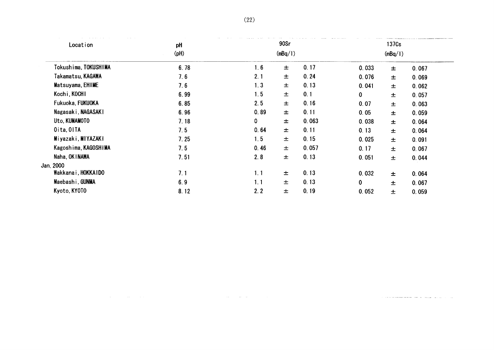| and the season and company<br>Location | pH         |         | 90Sr  |       |       | 137 <sub>Cs</sub> |       |
|----------------------------------------|------------|---------|-------|-------|-------|-------------------|-------|
|                                        | $($ pH $)$ | (mBq/1) |       |       |       | (mBq/1)           |       |
| Tokushima, TOKUSHIMA                   | 6.78       | 1.6     | 士     | 0.17  | 0.033 | 士                 | 0.067 |
| Takamatsu, KAGAWA                      | 7.6        | 2.1     | 士     | 0.24  | 0.076 | $\pm$             | 0.069 |
| Matsuyama, EHIME                       | 7.6        | 1.3     | $\pm$ | 0.13  | 0.041 | 士                 | 0.062 |
| Kochi, KOCHI                           | 6.99       | 1.5     | 土     | 0.1   | 0     | 土                 | 0.057 |
| Fukuoka, FUKUOKA                       | 6.85       | 2.5     | 士     | 0.16  | 0.07  | $\pm$             | 0.063 |
| Nagasaki, NAGASAKI                     | 6.96       | 0.89    | 士     | 0.11  | 0.05  | $\pm$             | 0.059 |
| Uto, KUMAMOTO                          | 7.18       | 0       | 士     | 0.063 | 0.038 | 士                 | 0.064 |
| Oita, OITA                             | 7.5        | 0.64    | 士     | 0.11  | 0.13  | 士                 | 0.064 |
| Miyazaki, MIYAZAKI                     | 7.25       | 1.5     | 士     | 0.15  | 0.025 | 士                 | 0.091 |
| Kagoshima, KAGOSHIMA                   | 7.5        | 0.46    | 士     | 0.057 | 0.17  | 士                 | 0.067 |
| Naha, OK I NAWA                        | 7.51       | 2.8     | $\pm$ | 0.13  | 0.051 | 土                 | 0.044 |
| Jan, 2000                              |            |         |       |       |       |                   |       |
| Wakkana i, HOKKAIDO                    | 7.1        | 1.1     | 士     | 0.13  | 0.032 | $\pm$             | 0.064 |
| Maebashi, GUNMA                        | 6.9        | 1.1     | 士     | 0.13  | 0     | 土                 | 0.067 |
| Kyoto, KY0T0                           | 8.12       | 2.2     | 士     | 0.19  | 0.052 | 士                 | 0.059 |

 $\hat{f}^{\dagger}$  and  $\hat{f}^{\dagger}$  are the space of the space of the space  $\hat{f}^{\dagger}$ 

 $\label{eq:1.1} \begin{split} \text{if } \mathbf{a} \text{ is a non-adjoint} & \mathbf{a} = \mathbf{a} \text{ and } \mathbf{a} \text{ is a non-adjoint} \end{split}$ 

 $\mathcal{L}^{\mathcal{L}}(\mathcal{L}^{\mathcal{L}})$  and  $\mathcal{L}^{\mathcal{L}}(\mathcal{L}^{\mathcal{L}})$  . The contribution of the contribution of the contribution of the contribution of the contribution of the contribution of the contribution of the contributio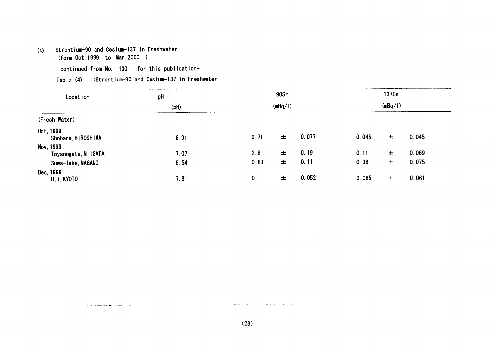# (4) Strontium-90 and Cesium-137 in Freshwater

(form Oct.1999 to Nar.2000)

-continued from No. 130 for this publication-

Table (4) :Strontium-90 and Cesium-137 in Freshwater

| the state of the component and the context of the country of the context of the context of the context of the context of the context of the context of the context of the context of the context of the context of the context<br>the second control of the second<br>Location | pH         |      | 90Sr    |       |       | 137 <sub>Cs</sub> |       |
|--------------------------------------------------------------------------------------------------------------------------------------------------------------------------------------------------------------------------------------------------------------------------------|------------|------|---------|-------|-------|-------------------|-------|
|                                                                                                                                                                                                                                                                                | $($ pH $)$ |      | (mBq/1) |       |       | (mBq/1)           |       |
| (Fresh Water)                                                                                                                                                                                                                                                                  |            |      |         |       |       |                   |       |
| Oct. 1999<br>Shobara, HIROSHIMA                                                                                                                                                                                                                                                | 6.91       | 0.71 | $\pm$   | 0.077 | 0.045 | $\pm$             | 0.045 |
| Nov. 1999<br>Toyanogata, NI IGATA                                                                                                                                                                                                                                              | 7.07       | 2.8  | 士       | 0.19  | 0.11  | 土                 | 0.069 |
| Suwa-lake, NAGANO                                                                                                                                                                                                                                                              | 8.54       | 0.83 | 士       | 0.11  | 0.38  | 士                 | 0.075 |
| Dec, 1999<br>Uji, KYOTO                                                                                                                                                                                                                                                        | 7.81       | 0    | 士       | 0.052 | 0.085 | 士                 | 0.061 |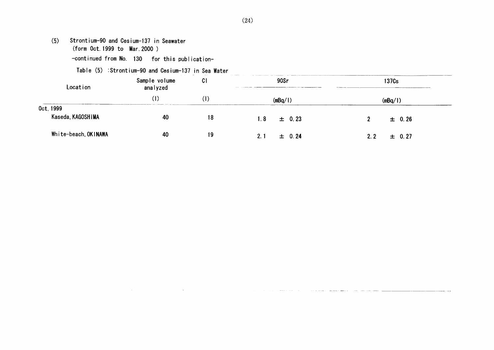- (5) Strontium-90and Cesium-137in Seawater (form Oct. 1999 to Mar. 2000)
	- -continued from No. 130 for this publication-

# Table (5) :Strontium-90 and Cesium-137 in Sea Water

 $\sim$ 

| the contract of the contract of the<br>Location | the contract of the con-<br>the contract of the contract of the<br>Sample volume<br>analyzed | <b>Contractor</b><br>C <sub>1</sub> | the company of<br>90Sr | 137Cs<br>______________________________ |
|-------------------------------------------------|----------------------------------------------------------------------------------------------|-------------------------------------|------------------------|-----------------------------------------|
|                                                 | (I)                                                                                          | U                                   | 、mBa⁄                  | mBa/l)                                  |
| Oct. 1999<br>Kaseda, KAGOSHIMA                  | 40                                                                                           | 18                                  | $\pm$ 0.23<br>1.8      | $\pm$ 0.26                              |
| White-beach, OKINAWA                            | 40                                                                                           | 19                                  | $\pm$ 0.24<br>2.1      | $\pm$ 0.27<br>2.2 <sub>2</sub>          |

and the company of the company of the company of the company of the company of the company of the company of the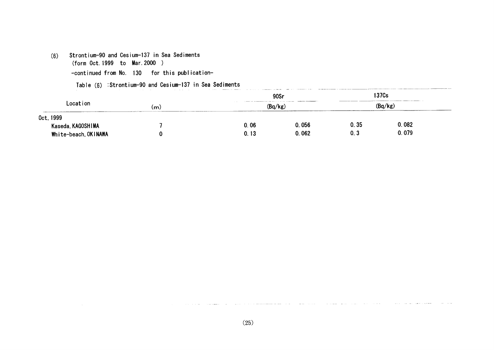# (6) Strontium-90and Cesium-137in Sea Sediments

(form Oct.1999 to Har.2000)

-continued from No. 130 for this publication-

Table  $(6)$ : Strontium-90 and Cesium-137 in Sea Sediments

|                      |    |                                                 | 90Sr    |         | 137Cs |  |
|----------------------|----|-------------------------------------------------|---------|---------|-------|--|
| Location             | (m | a second the contemporary of the company of the | (Bq/kg) | (Bq/kg) |       |  |
| Oct, 1999            |    |                                                 |         |         |       |  |
| Kaseda, KAGOSHIMA    |    | 0.06                                            | 0.056   | 0.35    | 0.082 |  |
| White-beach, OKINAWA |    | 0.13                                            | 0.062   | 0. 3    | 0.079 |  |

المتناجين ويستنبذ والمتعاطف والمنا

 $\sim$ 

تصرف المتمام المصرورين

 $\sim 10^{-1}$ 

 $\sim 10^{-1}$  m  $^{-1}$